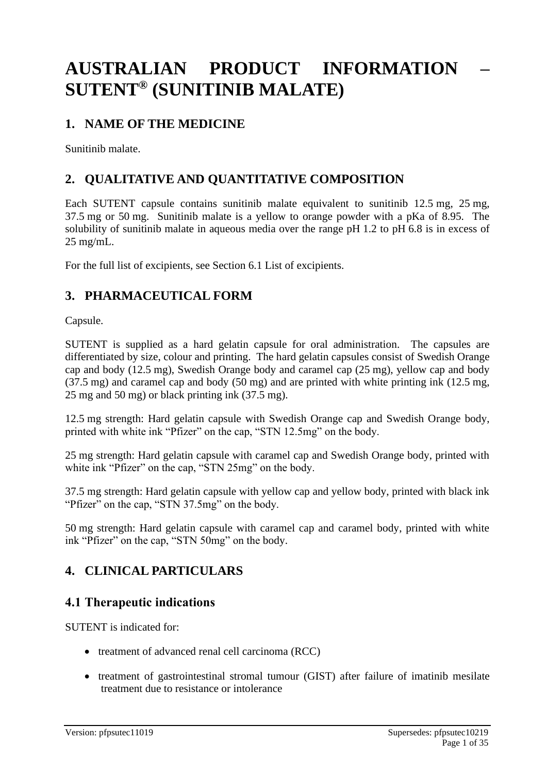# **AUSTRALIAN PRODUCT INFORMATION – SUTENT® (SUNITINIB MALATE)**

## **1. NAME OF THE MEDICINE**

Sunitinib malate.

## **2. QUALITATIVE AND QUANTITATIVE COMPOSITION**

Each SUTENT capsule contains sunitinib malate equivalent to sunitinib 12.5 mg, 25 mg, 37.5 mg or 50 mg. Sunitinib malate is a yellow to orange powder with a pKa of 8.95. The solubility of sunitinib malate in aqueous media over the range pH 1.2 to pH 6.8 is in excess of 25 mg/mL.

For the full list of excipients, see Section 6.1 List of excipients.

## **3. PHARMACEUTICAL FORM**

Capsule.

SUTENT is supplied as a hard gelatin capsule for oral administration. The capsules are differentiated by size, colour and printing. The hard gelatin capsules consist of Swedish Orange cap and body (12.5 mg), Swedish Orange body and caramel cap (25 mg), yellow cap and body (37.5 mg) and caramel cap and body (50 mg) and are printed with white printing ink (12.5 mg, 25 mg and 50 mg) or black printing ink (37.5 mg).

12.5 mg strength: Hard gelatin capsule with Swedish Orange cap and Swedish Orange body, printed with white ink "Pfizer" on the cap, "STN 12.5mg" on the body.

25 mg strength: Hard gelatin capsule with caramel cap and Swedish Orange body, printed with white ink "Pfizer" on the cap, "STN 25mg" on the body.

37.5 mg strength: Hard gelatin capsule with yellow cap and yellow body, printed with black ink "Pfizer" on the cap, "STN 37.5mg" on the body.

50 mg strength: Hard gelatin capsule with caramel cap and caramel body, printed with white ink "Pfizer" on the cap, "STN 50mg" on the body.

## **4. CLINICAL PARTICULARS**

## **4.1 Therapeutic indications**

SUTENT is indicated for:

- treatment of advanced renal cell carcinoma (RCC)
- treatment of gastrointestinal stromal tumour (GIST) after failure of imatinib mesilate treatment due to resistance or intolerance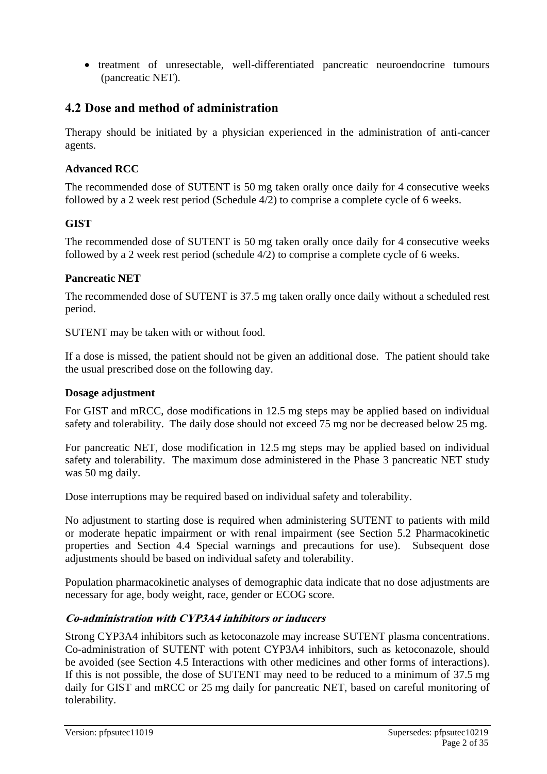• treatment of unresectable, well-differentiated pancreatic neuroendocrine tumours (pancreatic NET).

## **4.2 Dose and method of administration**

Therapy should be initiated by a physician experienced in the administration of anti-cancer agents.

## **Advanced RCC**

The recommended dose of SUTENT is 50 mg taken orally once daily for 4 consecutive weeks followed by a 2 week rest period (Schedule 4/2) to comprise a complete cycle of 6 weeks.

## **GIST**

The recommended dose of SUTENT is 50 mg taken orally once daily for 4 consecutive weeks followed by a 2 week rest period (schedule 4/2) to comprise a complete cycle of 6 weeks.

### **Pancreatic NET**

The recommended dose of SUTENT is 37.5 mg taken orally once daily without a scheduled rest period.

SUTENT may be taken with or without food.

If a dose is missed, the patient should not be given an additional dose. The patient should take the usual prescribed dose on the following day.

### **Dosage adjustment**

For GIST and mRCC, dose modifications in 12.5 mg steps may be applied based on individual safety and tolerability. The daily dose should not exceed 75 mg nor be decreased below 25 mg.

For pancreatic NET, dose modification in 12.5 mg steps may be applied based on individual safety and tolerability. The maximum dose administered in the Phase 3 pancreatic NET study was 50 mg daily.

Dose interruptions may be required based on individual safety and tolerability.

No adjustment to starting dose is required when administering SUTENT to patients with mild or moderate hepatic impairment or with renal impairment (see Section 5.2 Pharmacokinetic properties and Section 4.4 Special warnings and precautions for use). Subsequent dose adjustments should be based on individual safety and tolerability.

Population pharmacokinetic analyses of demographic data indicate that no dose adjustments are necessary for age, body weight, race, gender or ECOG score.

### **Co-administration with CYP3A4 inhibitors or inducers**

Strong CYP3A4 inhibitors such as ketoconazole may increase SUTENT plasma concentrations. Co-administration of SUTENT with potent CYP3A4 inhibitors, such as ketoconazole, should be avoided (see Section 4.5 Interactions with other medicines and other forms of interactions). If this is not possible, the dose of SUTENT may need to be reduced to a minimum of 37.5 mg daily for GIST and mRCC or 25 mg daily for pancreatic NET, based on careful monitoring of tolerability.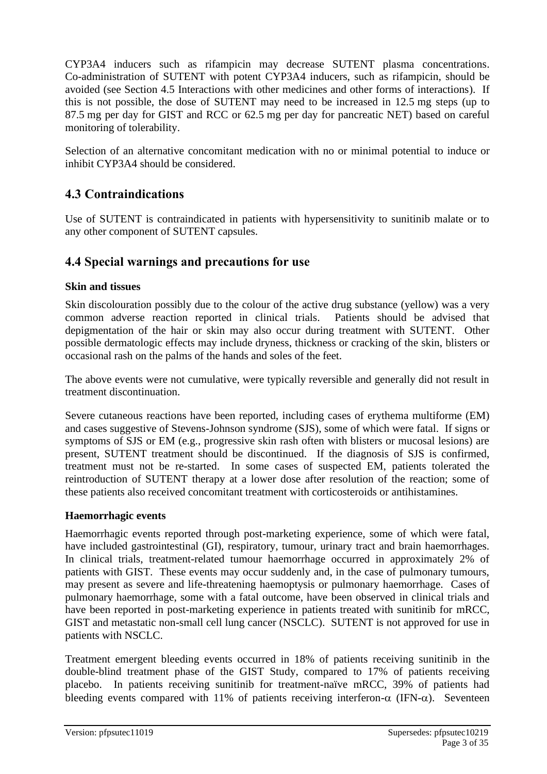CYP3A4 inducers such as rifampicin may decrease SUTENT plasma concentrations. Co-administration of SUTENT with potent CYP3A4 inducers, such as rifampicin, should be avoided (see Section 4.5 Interactions with other medicines and other forms of interactions). If this is not possible, the dose of SUTENT may need to be increased in 12.5 mg steps (up to 87.5 mg per day for GIST and RCC or 62.5 mg per day for pancreatic NET) based on careful monitoring of tolerability.

Selection of an alternative concomitant medication with no or minimal potential to induce or inhibit CYP3A4 should be considered.

## **4.3 Contraindications**

Use of SUTENT is contraindicated in patients with hypersensitivity to sunitinib malate or to any other component of SUTENT capsules.

## **4.4 Special warnings and precautions for use**

## **Skin and tissues**

Skin discolouration possibly due to the colour of the active drug substance (yellow) was a very common adverse reaction reported in clinical trials. Patients should be advised that depigmentation of the hair or skin may also occur during treatment with SUTENT. Other possible dermatologic effects may include dryness, thickness or cracking of the skin, blisters or occasional rash on the palms of the hands and soles of the feet.

The above events were not cumulative, were typically reversible and generally did not result in treatment discontinuation.

Severe cutaneous reactions have been reported, including cases of erythema multiforme (EM) and cases suggestive of Stevens-Johnson syndrome (SJS), some of which were fatal. If signs or symptoms of SJS or EM (e.g., progressive skin rash often with blisters or mucosal lesions) are present, SUTENT treatment should be discontinued. If the diagnosis of SJS is confirmed, treatment must not be re-started. In some cases of suspected EM, patients tolerated the reintroduction of SUTENT therapy at a lower dose after resolution of the reaction; some of these patients also received concomitant treatment with corticosteroids or antihistamines.

## **Haemorrhagic events**

Haemorrhagic events reported through post-marketing experience, some of which were fatal, have included gastrointestinal (GI), respiratory, tumour, urinary tract and brain haemorrhages. In clinical trials, treatment-related tumour haemorrhage occurred in approximately 2% of patients with GIST. These events may occur suddenly and, in the case of pulmonary tumours, may present as severe and life-threatening haemoptysis or pulmonary haemorrhage. Cases of pulmonary haemorrhage, some with a fatal outcome, have been observed in clinical trials and have been reported in post-marketing experience in patients treated with sunitinib for mRCC, GIST and metastatic non-small cell lung cancer (NSCLC). SUTENT is not approved for use in patients with NSCLC.

Treatment emergent bleeding events occurred in 18% of patients receiving sunitinib in the double-blind treatment phase of the GIST Study, compared to 17% of patients receiving placebo. In patients receiving sunitinib for treatment-naïve mRCC, 39% of patients had bleeding events compared with 11% of patients receiving interferon- $\alpha$  (IFN- $\alpha$ ). Seventeen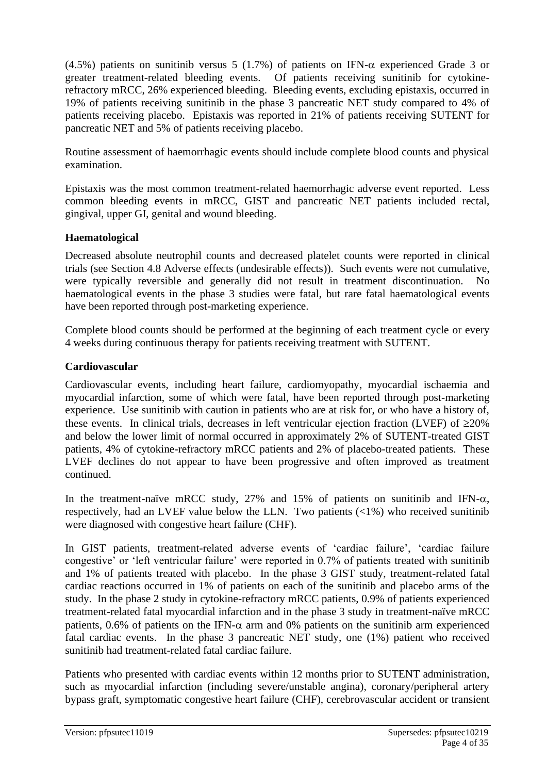(4.5%) patients on sunitinib versus 5 (1.7%) of patients on IFN- $\alpha$  experienced Grade 3 or greater treatment-related bleeding events. Of patients receiving sunitinib for cytokinerefractory mRCC, 26% experienced bleeding. Bleeding events, excluding epistaxis, occurred in 19% of patients receiving sunitinib in the phase 3 pancreatic NET study compared to 4% of patients receiving placebo. Epistaxis was reported in 21% of patients receiving SUTENT for pancreatic NET and 5% of patients receiving placebo.

Routine assessment of haemorrhagic events should include complete blood counts and physical examination.

Epistaxis was the most common treatment-related haemorrhagic adverse event reported. Less common bleeding events in mRCC, GIST and pancreatic NET patients included rectal, gingival, upper GI, genital and wound bleeding.

## **Haematological**

Decreased absolute neutrophil counts and decreased platelet counts were reported in clinical trials (see Section 4.8 Adverse effects (undesirable effects)). Such events were not cumulative, were typically reversible and generally did not result in treatment discontinuation. No haematological events in the phase 3 studies were fatal, but rare fatal haematological events have been reported through post-marketing experience.

Complete blood counts should be performed at the beginning of each treatment cycle or every 4 weeks during continuous therapy for patients receiving treatment with SUTENT.

## **Cardiovascular**

Cardiovascular events, including heart failure, cardiomyopathy, myocardial ischaemia and myocardial infarction, some of which were fatal, have been reported through post-marketing experience. Use sunitinib with caution in patients who are at risk for, or who have a history of, these events. In clinical trials, decreases in left ventricular ejection fraction (LVEF) of  $\geq$ 20% and below the lower limit of normal occurred in approximately 2% of SUTENT-treated GIST patients, 4% of cytokine-refractory mRCC patients and 2% of placebo-treated patients. These LVEF declines do not appear to have been progressive and often improved as treatment continued.

In the treatment-naïve mRCC study,  $27\%$  and  $15\%$  of patients on sunitinib and IFN- $\alpha$ , respectively, had an LVEF value below the LLN. Two patients  $\langle \langle 1\% \rangle$  who received sunitinib were diagnosed with congestive heart failure (CHF).

In GIST patients, treatment-related adverse events of 'cardiac failure', 'cardiac failure congestive' or 'left ventricular failure' were reported in 0.7% of patients treated with sunitinib and 1% of patients treated with placebo. In the phase 3 GIST study, treatment-related fatal cardiac reactions occurred in 1% of patients on each of the sunitinib and placebo arms of the study. In the phase 2 study in cytokine-refractory mRCC patients, 0.9% of patients experienced treatment-related fatal myocardial infarction and in the phase 3 study in treatment-naïve mRCC patients, 0.6% of patients on the IFN- $\alpha$  arm and 0% patients on the sunitinib arm experienced fatal cardiac events. In the phase 3 pancreatic NET study, one (1%) patient who received sunitinib had treatment-related fatal cardiac failure.

Patients who presented with cardiac events within 12 months prior to SUTENT administration, such as myocardial infarction (including severe/unstable angina), coronary/peripheral artery bypass graft, symptomatic congestive heart failure (CHF), cerebrovascular accident or transient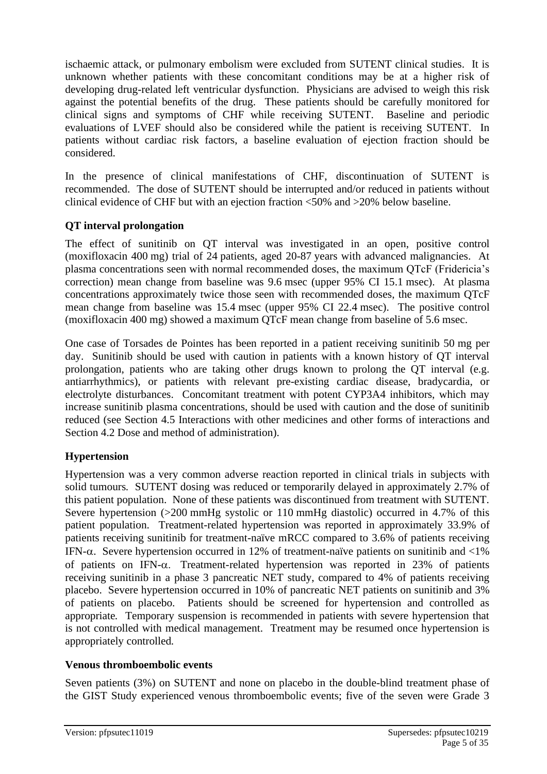ischaemic attack, or pulmonary embolism were excluded from SUTENT clinical studies. It is unknown whether patients with these concomitant conditions may be at a higher risk of developing drug-related left ventricular dysfunction. Physicians are advised to weigh this risk against the potential benefits of the drug. These patients should be carefully monitored for clinical signs and symptoms of CHF while receiving SUTENT. Baseline and periodic evaluations of LVEF should also be considered while the patient is receiving SUTENT. In patients without cardiac risk factors, a baseline evaluation of ejection fraction should be considered.

In the presence of clinical manifestations of CHF, discontinuation of SUTENT is recommended. The dose of SUTENT should be interrupted and/or reduced in patients without clinical evidence of CHF but with an ejection fraction <50% and >20% below baseline.

## **QT interval prolongation**

The effect of sunitinib on QT interval was investigated in an open, positive control (moxifloxacin 400 mg) trial of 24 patients, aged 20-87 years with advanced malignancies. At plasma concentrations seen with normal recommended doses, the maximum QTcF (Fridericia's correction) mean change from baseline was 9.6 msec (upper 95% CI 15.1 msec). At plasma concentrations approximately twice those seen with recommended doses, the maximum QTcF mean change from baseline was 15.4 msec (upper 95% CI 22.4 msec). The positive control (moxifloxacin 400 mg) showed a maximum QTcF mean change from baseline of 5.6 msec.

One case of Torsades de Pointes has been reported in a patient receiving sunitinib 50 mg per day. Sunitinib should be used with caution in patients with a known history of QT interval prolongation, patients who are taking other drugs known to prolong the QT interval (e.g. antiarrhythmics), or patients with relevant pre-existing cardiac disease, bradycardia, or electrolyte disturbances. Concomitant treatment with potent CYP3A4 inhibitors, which may increase sunitinib plasma concentrations, should be used with caution and the dose of sunitinib reduced (see Section 4.5 Interactions with other medicines and other forms of interactions and Section 4.2 Dose and method of administration).

## **Hypertension**

Hypertension was a very common adverse reaction reported in clinical trials in subjects with solid tumours*.* SUTENT dosing was reduced or temporarily delayed in approximately 2.7% of this patient population. None of these patients was discontinued from treatment with SUTENT. Severe hypertension (>200 mmHg systolic or 110 mmHg diastolic) occurred in 4.7% of this patient population. Treatment-related hypertension was reported in approximately 33.9% of patients receiving sunitinib for treatment-naïve mRCC compared to 3.6% of patients receiving IFN- $\alpha$ . Severe hypertension occurred in 12% of treatment-naïve patients on sunitinib and <1% of patients on IFN- $\alpha$ . Treatment-related hypertension was reported in 23% of patients receiving sunitinib in a phase 3 pancreatic NET study, compared to 4% of patients receiving placebo. Severe hypertension occurred in 10% of pancreatic NET patients on sunitinib and 3% of patients on placebo. Patients should be screened for hypertension and controlled as appropriate*.* Temporary suspension is recommended in patients with severe hypertension that is not controlled with medical management. Treatment may be resumed once hypertension is appropriately controlled*.*

### **Venous thromboembolic events**

Seven patients (3%) on SUTENT and none on placebo in the double-blind treatment phase of the GIST Study experienced venous thromboembolic events; five of the seven were Grade 3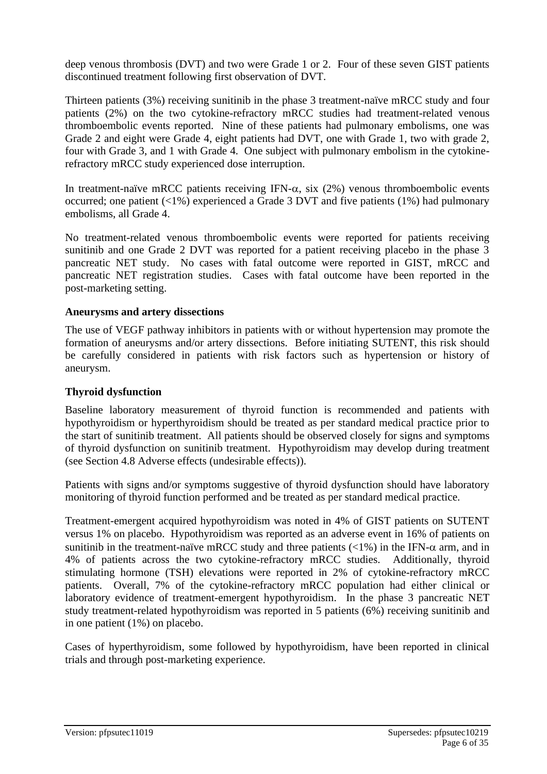deep venous thrombosis (DVT) and two were Grade 1 or 2. Four of these seven GIST patients discontinued treatment following first observation of DVT.

Thirteen patients (3%) receiving sunitinib in the phase 3 treatment-naïve mRCC study and four patients (2%) on the two cytokine-refractory mRCC studies had treatment-related venous thromboembolic events reported. Nine of these patients had pulmonary embolisms, one was Grade 2 and eight were Grade 4, eight patients had DVT, one with Grade 1, two with grade 2, four with Grade 3, and 1 with Grade 4. One subject with pulmonary embolism in the cytokinerefractory mRCC study experienced dose interruption.

In treatment-naïve mRCC patients receiving IFN- $\alpha$ , six (2%) venous thromboembolic events occurred; one patient  $\langle 1\% \rangle$  experienced a Grade 3 DVT and five patients (1%) had pulmonary embolisms, all Grade 4.

No treatment-related venous thromboembolic events were reported for patients receiving sunitinib and one Grade 2 DVT was reported for a patient receiving placebo in the phase 3 pancreatic NET study. No cases with fatal outcome were reported in GIST, mRCC and pancreatic NET registration studies. Cases with fatal outcome have been reported in the post-marketing setting.

### **Aneurysms and artery dissections**

The use of VEGF pathway inhibitors in patients with or without hypertension may promote the formation of aneurysms and/or artery dissections. Before initiating SUTENT, this risk should be carefully considered in patients with risk factors such as hypertension or history of aneurysm.

## **Thyroid dysfunction**

Baseline laboratory measurement of thyroid function is recommended and patients with hypothyroidism or hyperthyroidism should be treated as per standard medical practice prior to the start of sunitinib treatment. All patients should be observed closely for signs and symptoms of thyroid dysfunction on sunitinib treatment. Hypothyroidism may develop during treatment (see Section 4.8 Adverse effects (undesirable effects)).

Patients with signs and/or symptoms suggestive of thyroid dysfunction should have laboratory monitoring of thyroid function performed and be treated as per standard medical practice.

Treatment-emergent acquired hypothyroidism was noted in 4% of GIST patients on SUTENT versus 1% on placebo. Hypothyroidism was reported as an adverse event in 16% of patients on sunitinib in the treatment-naïve mRCC study and three patients  $\left($ <1%) in the IFN- $\alpha$  arm, and in 4% of patients across the two cytokine-refractory mRCC studies. Additionally, thyroid stimulating hormone (TSH) elevations were reported in 2% of cytokine-refractory mRCC patients. Overall, 7% of the cytokine-refractory mRCC population had either clinical or laboratory evidence of treatment-emergent hypothyroidism. In the phase 3 pancreatic NET study treatment-related hypothyroidism was reported in 5 patients (6%) receiving sunitinib and in one patient (1%) on placebo.

Cases of hyperthyroidism, some followed by hypothyroidism, have been reported in clinical trials and through post-marketing experience.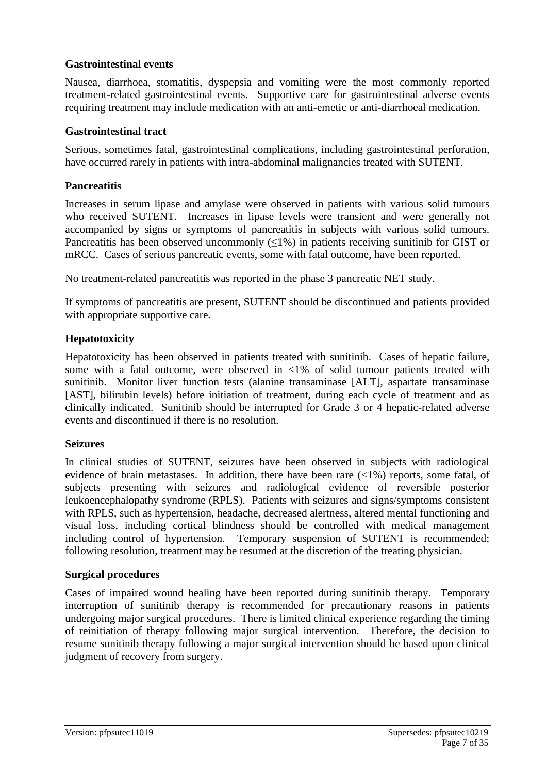## **Gastrointestinal events**

Nausea, diarrhoea, stomatitis, dyspepsia and vomiting were the most commonly reported treatment-related gastrointestinal events. Supportive care for gastrointestinal adverse events requiring treatment may include medication with an anti-emetic or anti-diarrhoeal medication.

### **Gastrointestinal tract**

Serious, sometimes fatal, gastrointestinal complications, including gastrointestinal perforation, have occurred rarely in patients with intra-abdominal malignancies treated with SUTENT.

### **Pancreatitis**

Increases in serum lipase and amylase were observed in patients with various solid tumours who received SUTENT. Increases in lipase levels were transient and were generally not accompanied by signs or symptoms of pancreatitis in subjects with various solid tumours. Pancreatitis has been observed uncommonly  $(\leq 1\%)$  in patients receiving sunitinib for GIST or mRCC. Cases of serious pancreatic events, some with fatal outcome, have been reported.

No treatment-related pancreatitis was reported in the phase 3 pancreatic NET study.

If symptoms of pancreatitis are present, SUTENT should be discontinued and patients provided with appropriate supportive care.

## **Hepatotoxicity**

Hepatotoxicity has been observed in patients treated with sunitinib. Cases of hepatic failure, some with a fatal outcome, were observed in <1% of solid tumour patients treated with sunitinib. Monitor liver function tests (alanine transaminase [ALT], aspartate transaminase [AST], bilirubin levels) before initiation of treatment, during each cycle of treatment and as clinically indicated. Sunitinib should be interrupted for Grade 3 or 4 hepatic-related adverse events and discontinued if there is no resolution.

### **Seizures**

In clinical studies of SUTENT, seizures have been observed in subjects with radiological evidence of brain metastases. In addition, there have been rare (<1%) reports, some fatal, of subjects presenting with seizures and radiological evidence of reversible posterior leukoencephalopathy syndrome (RPLS). Patients with seizures and signs/symptoms consistent with RPLS, such as hypertension, headache, decreased alertness, altered mental functioning and visual loss, including cortical blindness should be controlled with medical management including control of hypertension. Temporary suspension of SUTENT is recommended; following resolution, treatment may be resumed at the discretion of the treating physician.

### **Surgical procedures**

Cases of impaired wound healing have been reported during sunitinib therapy. Temporary interruption of sunitinib therapy is recommended for precautionary reasons in patients undergoing major surgical procedures. There is limited clinical experience regarding the timing of reinitiation of therapy following major surgical intervention. Therefore, the decision to resume sunitinib therapy following a major surgical intervention should be based upon clinical judgment of recovery from surgery.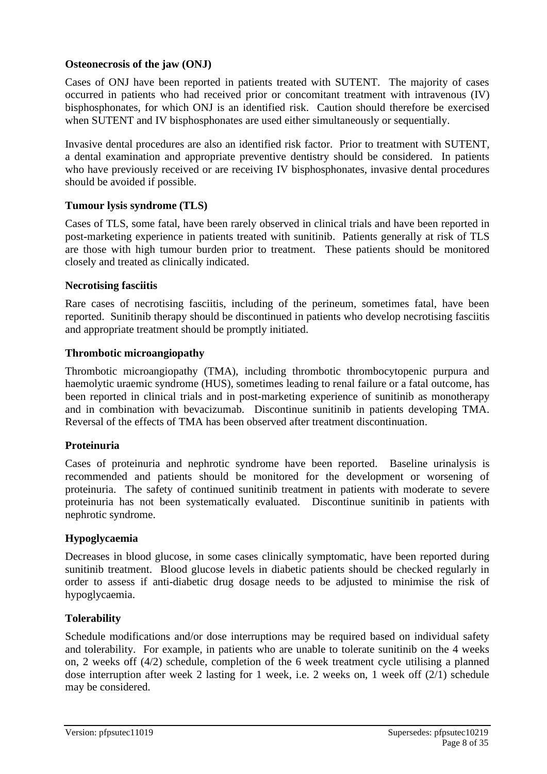## **Osteonecrosis of the jaw (ONJ)**

Cases of ONJ have been reported in patients treated with SUTENT. The majority of cases occurred in patients who had received prior or concomitant treatment with intravenous (IV) bisphosphonates, for which ONJ is an identified risk. Caution should therefore be exercised when SUTENT and IV bisphosphonates are used either simultaneously or sequentially.

Invasive dental procedures are also an identified risk factor. Prior to treatment with SUTENT, a dental examination and appropriate preventive dentistry should be considered. In patients who have previously received or are receiving IV bisphosphonates, invasive dental procedures should be avoided if possible.

## **Tumour lysis syndrome (TLS)**

Cases of TLS, some fatal, have been rarely observed in clinical trials and have been reported in post-marketing experience in patients treated with sunitinib. Patients generally at risk of TLS are those with high tumour burden prior to treatment. These patients should be monitored closely and treated as clinically indicated.

### **Necrotising fasciitis**

Rare cases of necrotising fasciitis, including of the perineum, sometimes fatal, have been reported. Sunitinib therapy should be discontinued in patients who develop necrotising fasciitis and appropriate treatment should be promptly initiated.

## **Thrombotic microangiopathy**

Thrombotic microangiopathy (TMA), including thrombotic thrombocytopenic purpura and haemolytic uraemic syndrome (HUS), sometimes leading to renal failure or a fatal outcome, has been reported in clinical trials and in post-marketing experience of sunitinib as monotherapy and in combination with bevacizumab. Discontinue sunitinib in patients developing TMA. Reversal of the effects of TMA has been observed after treatment discontinuation.

## **Proteinuria**

Cases of proteinuria and nephrotic syndrome have been reported. Baseline urinalysis is recommended and patients should be monitored for the development or worsening of proteinuria. The safety of continued sunitinib treatment in patients with moderate to severe proteinuria has not been systematically evaluated. Discontinue sunitinib in patients with nephrotic syndrome.

### **Hypoglycaemia**

Decreases in blood glucose, in some cases clinically symptomatic, have been reported during sunitinib treatment. Blood glucose levels in diabetic patients should be checked regularly in order to assess if anti-diabetic drug dosage needs to be adjusted to minimise the risk of hypoglycaemia.

## **Tolerability**

Schedule modifications and/or dose interruptions may be required based on individual safety and tolerability. For example, in patients who are unable to tolerate sunitinib on the 4 weeks on, 2 weeks off (4/2) schedule, completion of the 6 week treatment cycle utilising a planned dose interruption after week 2 lasting for 1 week, i.e. 2 weeks on, 1 week off (2/1) schedule may be considered.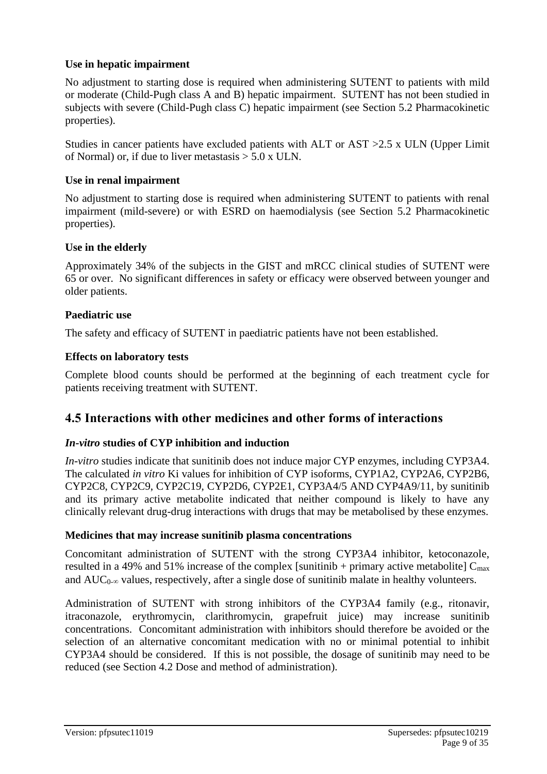## **Use in hepatic impairment**

No adjustment to starting dose is required when administering SUTENT to patients with mild or moderate (Child-Pugh class A and B) hepatic impairment. SUTENT has not been studied in subjects with severe (Child-Pugh class C) hepatic impairment (see Section 5.2 Pharmacokinetic properties).

Studies in cancer patients have excluded patients with ALT or AST >2.5 x ULN (Upper Limit of Normal) or, if due to liver metastasis  $> 5.0$  x ULN.

## **Use in renal impairment**

No adjustment to starting dose is required when administering SUTENT to patients with renal impairment (mild-severe) or with ESRD on haemodialysis (see Section 5.2 Pharmacokinetic properties).

## **Use in the elderly**

Approximately 34% of the subjects in the GIST and mRCC clinical studies of SUTENT were 65 or over. No significant differences in safety or efficacy were observed between younger and older patients.

## **Paediatric use**

The safety and efficacy of SUTENT in paediatric patients have not been established.

## **Effects on laboratory tests**

Complete blood counts should be performed at the beginning of each treatment cycle for patients receiving treatment with SUTENT.

## **4.5 Interactions with other medicines and other forms of interactions**

### *In-vitro* **studies of CYP inhibition and induction**

*In-vitro* studies indicate that sunitinib does not induce major CYP enzymes, including CYP3A4. The calculated *in vitro* Ki values for inhibition of CYP isoforms, CYP1A2, CYP2A6, CYP2B6, CYP2C8, CYP2C9, CYP2C19, CYP2D6, CYP2E1, CYP3A4/5 AND CYP4A9/11, by sunitinib and its primary active metabolite indicated that neither compound is likely to have any clinically relevant drug-drug interactions with drugs that may be metabolised by these enzymes.

### **Medicines that may increase sunitinib plasma concentrations**

Concomitant administration of SUTENT with the strong CYP3A4 inhibitor, ketoconazole, resulted in a 49% and 51% increase of the complex [sunitinib + primary active metabolite]  $C_{\text{max}}$ and  $AUC_{0-\infty}$  values, respectively, after a single dose of sunitinib malate in healthy volunteers.

Administration of SUTENT with strong inhibitors of the CYP3A4 family (e.g., ritonavir, itraconazole, erythromycin, clarithromycin, grapefruit juice) may increase sunitinib concentrations. Concomitant administration with inhibitors should therefore be avoided or the selection of an alternative concomitant medication with no or minimal potential to inhibit CYP3A4 should be considered. If this is not possible, the dosage of sunitinib may need to be reduced (see Section 4.2 Dose and method of administration).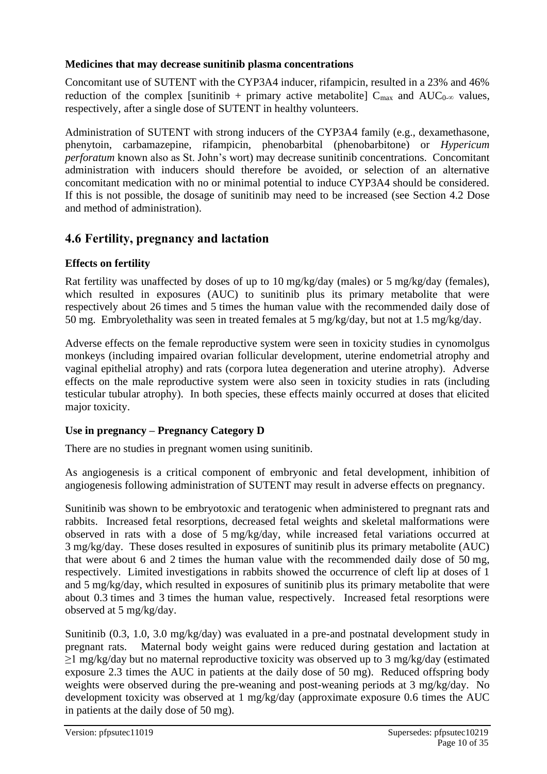## **Medicines that may decrease sunitinib plasma concentrations**

Concomitant use of SUTENT with the CYP3A4 inducer, rifampicin, resulted in a 23% and 46% reduction of the complex [sunitinib + primary active metabolite]  $C_{\text{max}}$  and  $AUC_{0-\infty}$  values, respectively, after a single dose of SUTENT in healthy volunteers.

Administration of SUTENT with strong inducers of the CYP3A4 family (e.g., dexamethasone, phenytoin, carbamazepine, rifampicin, phenobarbital (phenobarbitone) or *Hypericum perforatum* known also as St. John's wort) may decrease sunitinib concentrations. Concomitant administration with inducers should therefore be avoided, or selection of an alternative concomitant medication with no or minimal potential to induce CYP3A4 should be considered. If this is not possible, the dosage of sunitinib may need to be increased (see Section 4.2 Dose and method of administration).

## **4.6 Fertility, pregnancy and lactation**

## **Effects on fertility**

Rat fertility was unaffected by doses of up to 10 mg/kg/day (males) or 5 mg/kg/day (females), which resulted in exposures (AUC) to sunitinib plus its primary metabolite that were respectively about 26 times and 5 times the human value with the recommended daily dose of 50 mg. Embryolethality was seen in treated females at 5 mg/kg/day, but not at 1.5 mg/kg/day.

Adverse effects on the female reproductive system were seen in toxicity studies in cynomolgus monkeys (including impaired ovarian follicular development, uterine endometrial atrophy and vaginal epithelial atrophy) and rats (corpora lutea degeneration and uterine atrophy). Adverse effects on the male reproductive system were also seen in toxicity studies in rats (including testicular tubular atrophy). In both species, these effects mainly occurred at doses that elicited major toxicity.

## **Use in pregnancy – Pregnancy Category D**

There are no studies in pregnant women using sunitinib.

As angiogenesis is a critical component of embryonic and fetal development, inhibition of angiogenesis following administration of SUTENT may result in adverse effects on pregnancy.

Sunitinib was shown to be embryotoxic and teratogenic when administered to pregnant rats and rabbits. Increased fetal resorptions, decreased fetal weights and skeletal malformations were observed in rats with a dose of 5 mg/kg/day, while increased fetal variations occurred at 3 mg/kg/day. These doses resulted in exposures of sunitinib plus its primary metabolite (AUC) that were about 6 and 2 times the human value with the recommended daily dose of 50 mg, respectively. Limited investigations in rabbits showed the occurrence of cleft lip at doses of 1 and 5 mg/kg/day, which resulted in exposures of sunitinib plus its primary metabolite that were about 0.3 times and 3 times the human value, respectively. Increased fetal resorptions were observed at 5 mg/kg/day.

Sunitinib (0.3, 1.0, 3.0 mg/kg/day) was evaluated in a pre-and postnatal development study in pregnant rats. Maternal body weight gains were reduced during gestation and lactation at ≥1 mg/kg/day but no maternal reproductive toxicity was observed up to 3 mg/kg/day (estimated exposure 2.3 times the AUC in patients at the daily dose of 50 mg). Reduced offspring body weights were observed during the pre-weaning and post-weaning periods at 3 mg/kg/day. No development toxicity was observed at 1 mg/kg/day (approximate exposure 0.6 times the AUC in patients at the daily dose of 50 mg).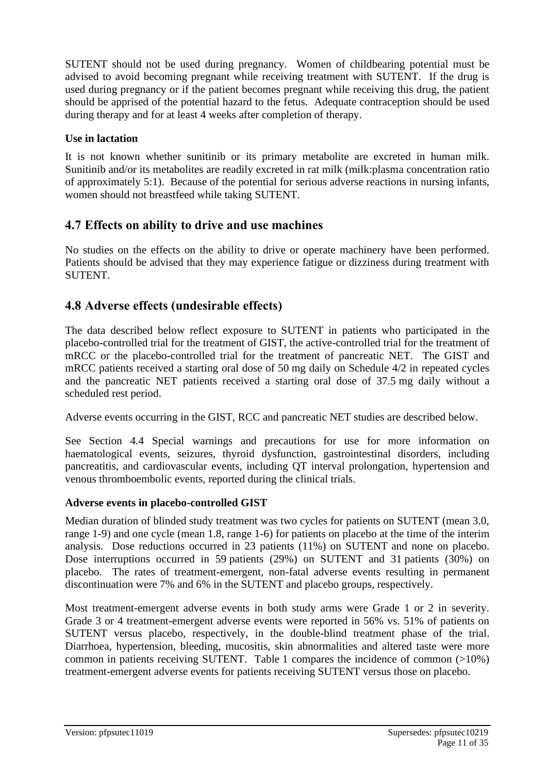SUTENT should not be used during pregnancy. Women of childbearing potential must be advised to avoid becoming pregnant while receiving treatment with SUTENT. If the drug is used during pregnancy or if the patient becomes pregnant while receiving this drug, the patient should be apprised of the potential hazard to the fetus. Adequate contraception should be used during therapy and for at least 4 weeks after completion of therapy.

## **Use in lactation**

It is not known whether sunitinib or its primary metabolite are excreted in human milk. Sunitinib and/or its metabolites are readily excreted in rat milk (milk:plasma concentration ratio of approximately 5:1). Because of the potential for serious adverse reactions in nursing infants, women should not breastfeed while taking SUTENT.

## **4.7 Effects on ability to drive and use machines**

No studies on the effects on the ability to drive or operate machinery have been performed. Patients should be advised that they may experience fatigue or dizziness during treatment with SUTENT.

## **4.8 Adverse effects (undesirable effects)**

The data described below reflect exposure to SUTENT in patients who participated in the placebo-controlled trial for the treatment of GIST, the active-controlled trial for the treatment of mRCC or the placebo-controlled trial for the treatment of pancreatic NET. The GIST and mRCC patients received a starting oral dose of 50 mg daily on Schedule 4/2 in repeated cycles and the pancreatic NET patients received a starting oral dose of 37.5 mg daily without a scheduled rest period.

Adverse events occurring in the GIST, RCC and pancreatic NET studies are described below.

See Section 4.4 Special warnings and precautions for use for more information on haematological events, seizures, thyroid dysfunction, gastrointestinal disorders, including pancreatitis, and cardiovascular events, including QT interval prolongation, hypertension and venous thromboembolic events, reported during the clinical trials.

## **Adverse events in placebo-controlled GIST**

Median duration of blinded study treatment was two cycles for patients on SUTENT (mean 3.0, range 1-9) and one cycle (mean 1.8, range 1-6) for patients on placebo at the time of the interim analysis. Dose reductions occurred in 23 patients (11%) on SUTENT and none on placebo. Dose interruptions occurred in 59 patients (29%) on SUTENT and 31 patients (30%) on placebo. The rates of treatment-emergent, non-fatal adverse events resulting in permanent discontinuation were 7% and 6% in the SUTENT and placebo groups, respectively.

Most treatment-emergent adverse events in both study arms were Grade 1 or 2 in severity. Grade 3 or 4 treatment-emergent adverse events were reported in 56% vs. 51% of patients on SUTENT versus placebo, respectively, in the double-blind treatment phase of the trial. Diarrhoea, hypertension, bleeding, mucositis, skin abnormalities and altered taste were more common in patients receiving SUTENT. Table 1 compares the incidence of common (>10%) treatment-emergent adverse events for patients receiving SUTENT versus those on placebo.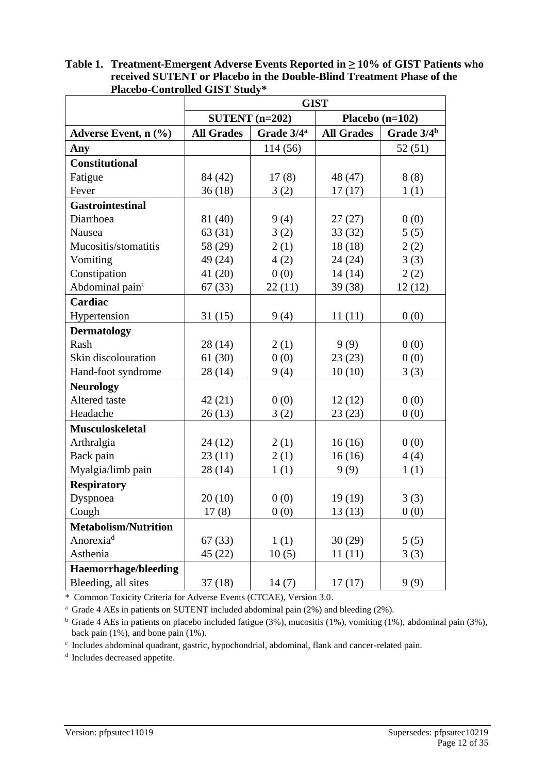| Thereby Controlled OIDT Didux | <b>GIST</b>                                 |                  |                   |                        |  |  |  |
|-------------------------------|---------------------------------------------|------------------|-------------------|------------------------|--|--|--|
|                               |                                             | SUTENT $(n=202)$ | Placebo $(n=102)$ |                        |  |  |  |
| Adverse Event, n (%)          | Grade 3/4 <sup>a</sup><br><b>All Grades</b> |                  | <b>All Grades</b> | Grade 3/4 <sup>b</sup> |  |  |  |
| Any                           |                                             | 114 (56)         |                   | 52(51)                 |  |  |  |
| <b>Constitutional</b>         |                                             |                  |                   |                        |  |  |  |
| Fatigue                       | 84 (42)                                     | 17(8)            | 48 (47)           | 8(8)                   |  |  |  |
| Fever                         | 36(18)                                      | 3(2)             | 17(17)            | 1(1)                   |  |  |  |
| <b>Gastrointestinal</b>       |                                             |                  |                   |                        |  |  |  |
| Diarrhoea                     | 81 (40)                                     | 9(4)             | 27(27)            | 0(0)                   |  |  |  |
| Nausea                        | 63 (31)                                     | 3(2)             | 33(32)            | 5(5)                   |  |  |  |
| Mucositis/stomatitis          | 58 (29)                                     | 2(1)             | 18(18)            | 2(2)                   |  |  |  |
| Vomiting                      | 49 (24)                                     | 4(2)             | 24(24)            | 3(3)                   |  |  |  |
| Constipation                  | 41(20)                                      | 0(0)             | 14(14)            | 2(2)                   |  |  |  |
| Abdominal pain <sup>c</sup>   | 67(33)                                      | 22(11)           | 39(38)            | 12(12)                 |  |  |  |
| Cardiac                       |                                             |                  |                   |                        |  |  |  |
| Hypertension                  | 31(15)                                      | 9(4)             | 11(11)            | 0(0)                   |  |  |  |
| <b>Dermatology</b>            |                                             |                  |                   |                        |  |  |  |
| Rash                          | 28 (14)                                     | 2(1)             | 9(9)              | 0(0)                   |  |  |  |
| Skin discolouration           | 61(30)                                      | 0(0)             | 23(23)            | 0(0)                   |  |  |  |
| Hand-foot syndrome            | 28 (14)                                     | 9(4)             | 10(10)            | 3(3)                   |  |  |  |
| <b>Neurology</b>              |                                             |                  |                   |                        |  |  |  |
| Altered taste                 | 42(21)                                      | 0(0)             | 12(12)            | 0(0)                   |  |  |  |
| Headache                      | 26(13)                                      | 3(2)             | 23(23)            | 0(0)                   |  |  |  |
| <b>Musculoskeletal</b>        |                                             |                  |                   |                        |  |  |  |
| Arthralgia                    | 24 (12)                                     | 2(1)             | 16(16)            | 0(0)                   |  |  |  |
| Back pain                     | 23(11)                                      | 2(1)             | 16(16)            | 4(4)                   |  |  |  |
| Myalgia/limb pain             | 28 (14)                                     | 1(1)             | 9(9)              | 1(1)                   |  |  |  |
| <b>Respiratory</b>            |                                             |                  |                   |                        |  |  |  |
| Dyspnoea                      | 20(10)                                      | 0(0)             | 19(19)            | 3(3)                   |  |  |  |
| Cough                         | 17(8)                                       | 0(0)             | 13(13)            | 0(0)                   |  |  |  |
| <b>Metabolism/Nutrition</b>   |                                             |                  |                   |                        |  |  |  |
| Anorexia <sup>d</sup>         | 67(33)                                      | 1(1)             | 30(29)            | 5(5)                   |  |  |  |
| Asthenia                      | 45 (22)                                     | 10(5)            | 11(11)            | 3(3)                   |  |  |  |
| <b>Haemorrhage/bleeding</b>   |                                             |                  |                   |                        |  |  |  |
| Bleeding, all sites           | 37(18)                                      | 14(7)            | 17(17)            | 9(9)                   |  |  |  |

**Table 1. Treatment-Emergent Adverse Events Reported in ≥ 10% of GIST Patients who received SUTENT or Placebo in the Double-Blind Treatment Phase of the Placebo-Controlled GIST Study\*** 

\* Common Toxicity Criteria for Adverse Events (CTCAE), Version 3.0.

<sup>a</sup> Grade 4 AEs in patients on SUTENT included abdominal pain (2%) and bleeding (2%).

<sup>b</sup> Grade 4 AEs in patients on placebo included fatigue (3%), mucositis (1%), vomiting (1%), abdominal pain (3%), back pain (1%), and bone pain (1%).

c Includes abdominal quadrant, gastric, hypochondrial, abdominal, flank and cancer-related pain.

<sup>d</sup> Includes decreased appetite.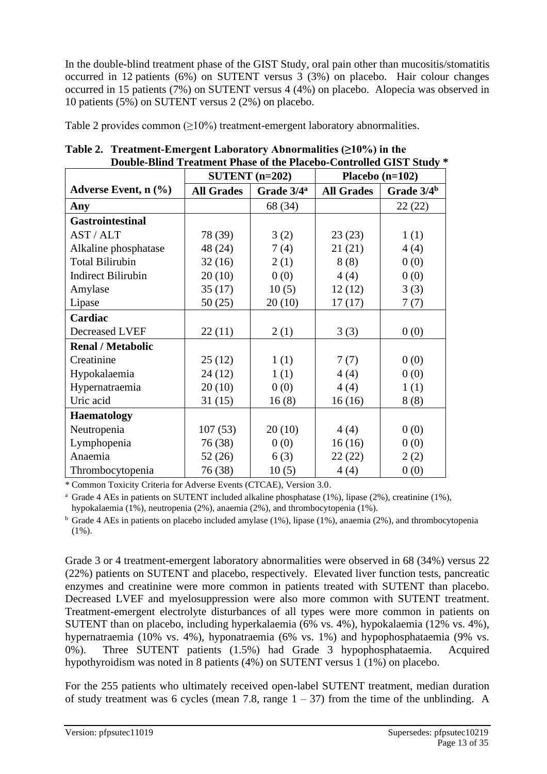In the double-blind treatment phase of the GIST Study, oral pain other than mucositis/stomatitis occurred in 12 patients (6%) on SUTENT versus 3 (3%) on placebo. Hair colour changes occurred in 15 patients (7%) on SUTENT versus 4 (4%) on placebo. Alopecia was observed in 10 patients (5%) on SUTENT versus 2 (2%) on placebo.

Table 2 provides common  $(>10\%)$  treatment-emergent laboratory abnormalities.

|                                    |                   | SUTENT $(n=202)$       |                   | Placebo $(n=102)$ |
|------------------------------------|-------------------|------------------------|-------------------|-------------------|
| Adverse Event, $n$ $(\frac{6}{6})$ | <b>All Grades</b> | Grade 3/4 <sup>a</sup> | <b>All Grades</b> | Grade $3/4b$      |
| Any                                |                   | 68 (34)                |                   | 22(22)            |
| <b>Gastrointestinal</b>            |                   |                        |                   |                   |
| AST / ALT                          | 78 (39)           | 3(2)                   | 23(23)            | 1(1)              |
| Alkaline phosphatase               | 48 (24)           | 7(4)                   | 21(21)            | 4(4)              |
| <b>Total Bilirubin</b>             | 32(16)            | 2(1)                   | 8(8)              | 0(0)              |
| <b>Indirect Bilirubin</b>          | 20(10)            | 0(0)                   | 4(4)              | 0(0)              |
| Amylase                            | 35(17)            | 10(5)                  | 12(12)            | 3(3)              |
| Lipase                             | 50(25)            | 20(10)                 | 17(17)            | 7(7)              |
| Cardiac                            |                   |                        |                   |                   |
| Decreased LVEF                     | 22(11)            | 2(1)                   | 3(3)              | 0(0)              |
| <b>Renal / Metabolic</b>           |                   |                        |                   |                   |
| Creatinine                         | 25(12)            | 1(1)                   | 7(7)              | 0(0)              |
| Hypokalaemia                       | 24(12)            | 1(1)                   | 4(4)              | 0(0)              |
| Hypernatraemia                     | 20(10)            | 0(0)                   | 4(4)              | 1(1)              |
| Uric acid                          | 31(15)            | 16(8)                  | 16(16)            | 8(8)              |
| <b>Haematology</b>                 |                   |                        |                   |                   |
| Neutropenia                        | 107(53)           | 20(10)                 | 4(4)              | 0(0)              |
| Lymphopenia                        | 76 (38)           | 0(0)                   | 16(16)            | 0(0)              |
| Anaemia                            | 52(26)            | 6(3)                   | 22(22)            | 2(2)              |
| Thrombocytopenia                   | 76 (38)           | 10(5)                  | 4(4)              | 0(0)              |

**Table 2. Treatment-Emergent Laboratory Abnormalities (≥10%) in the Double-Blind Treatment Phase of the Placebo-Controlled GIST Study \*** 

\* Common Toxicity Criteria for Adverse Events (CTCAE), Version 3.0.

<sup>a</sup> Grade 4 AEs in patients on SUTENT included alkaline phosphatase  $(1\%)$ , lipase  $(2\%)$ , creatinine  $(1\%)$ , hypokalaemia (1%), neutropenia (2%), anaemia (2%), and thrombocytopenia (1%).

 $b$  Grade 4 AEs in patients on placebo included amylase (1%), lipase (1%), anaemia (2%), and thrombocytopenia  $(1\%)$ .

Grade 3 or 4 treatment-emergent laboratory abnormalities were observed in 68 (34%) versus 22 (22%) patients on SUTENT and placebo, respectively. Elevated liver function tests, pancreatic enzymes and creatinine were more common in patients treated with SUTENT than placebo. Decreased LVEF and myelosuppression were also more common with SUTENT treatment. Treatment-emergent electrolyte disturbances of all types were more common in patients on SUTENT than on placebo, including hyperkalaemia (6% vs. 4%), hypokalaemia (12% vs. 4%), hypernatraemia (10% vs. 4%), hyponatraemia (6% vs. 1%) and hypophosphataemia (9% vs. 0%). Three SUTENT patients (1.5%) had Grade 3 hypophosphataemia. Acquired hypothyroidism was noted in 8 patients (4%) on SUTENT versus 1 (1%) on placebo.

For the 255 patients who ultimately received open-label SUTENT treatment, median duration of study treatment was 6 cycles (mean 7.8, range  $1 - 37$ ) from the time of the unblinding. A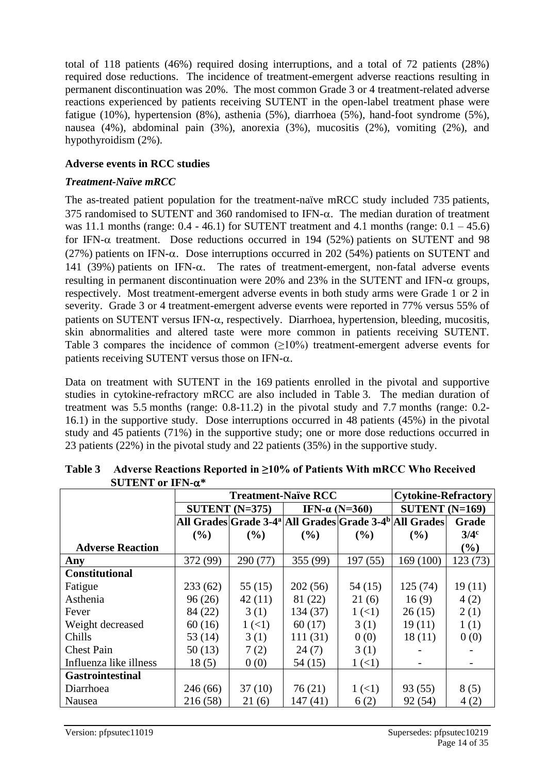total of 118 patients (46%) required dosing interruptions, and a total of 72 patients (28%) required dose reductions. The incidence of treatment-emergent adverse reactions resulting in permanent discontinuation was 20%. The most common Grade 3 or 4 treatment-related adverse reactions experienced by patients receiving SUTENT in the open-label treatment phase were fatigue (10%), hypertension (8%), asthenia (5%), diarrhoea (5%), hand-foot syndrome (5%), nausea (4%), abdominal pain (3%), anorexia (3%), mucositis (2%), vomiting (2%), and hypothyroidism (2%).

### **Adverse events in RCC studies**

## *Treatment-Naïve mRCC*

The as-treated patient population for the treatment-naïve mRCC study included 735 patients, 375 randomised to SUTENT and 360 randomised to IFN- $\alpha$ . The median duration of treatment was 11.1 months (range:  $0.4 - 46.1$ ) for SUTENT treatment and 4.1 months (range:  $0.1 - 45.6$ ) for IFN- $\alpha$  treatment. Dose reductions occurred in 194 (52%) patients on SUTENT and 98 (27%) patients on IFN- $\alpha$ . Dose interruptions occurred in 202 (54%) patients on SUTENT and 141 (39%) patients on IFN- $\alpha$ . The rates of treatment-emergent, non-fatal adverse events resulting in permanent discontinuation were 20% and 23% in the SUTENT and IFN- $\alpha$  groups, respectively. Most treatment-emergent adverse events in both study arms were Grade 1 or 2 in severity. Grade 3 or 4 treatment-emergent adverse events were reported in 77% versus 55% of patients on SUTENT versus IFN- $\alpha$ , respectively. Diarrhoea, hypertension, bleeding, mucositis, skin abnormalities and altered taste were more common in patients receiving SUTENT. Table 3 compares the incidence of common  $(\geq 10\%)$  treatment-emergent adverse events for patients receiving SUTENT versus those on IFN- $\alpha$ .

Data on treatment with SUTENT in the 169 patients enrolled in the pivotal and supportive studies in cytokine-refractory mRCC are also included in Table 3. The median duration of treatment was 5.5 months (range: 0.8-11.2) in the pivotal study and 7.7 months (range: 0.2- 16.1) in the supportive study. Dose interruptions occurred in 48 patients (45%) in the pivotal study and 45 patients (71%) in the supportive study; one or more dose reductions occurred in 23 patients (22%) in the pivotal study and 22 patients (35%) in the supportive study.

|                         |          | <b>Treatment-Naïve RCC</b> | <b>Cytokine-Refractory</b> |                       |                                                                                |                  |
|-------------------------|----------|----------------------------|----------------------------|-----------------------|--------------------------------------------------------------------------------|------------------|
|                         |          | SUTENT $(N=375)$           |                            | IFN- $\alpha$ (N=360) | SUTENT $(N=169)$                                                               |                  |
|                         |          |                            |                            |                       | All Grades Grade 3-4 <sup>a</sup> All Grades Grade 3-4 <sup>b</sup> All Grades | Grade            |
|                         | $($ %)   | $($ %)                     | $($ %)                     | (%)                   | $($ %)                                                                         | 3/4 <sup>c</sup> |
| <b>Adverse Reaction</b> |          |                            |                            |                       |                                                                                | $(\%)$           |
| Any                     | 372 (99) | 290 (77)                   | 355 (99)                   | 197(55)               | 169(100)                                                                       | 123 (73)         |
| <b>Constitutional</b>   |          |                            |                            |                       |                                                                                |                  |
| Fatigue                 | 233(62)  | 55(15)                     | 202(56)                    | 54(15)                | 125(74)                                                                        | 19(11)           |
| Asthenia                | 96(26)   | 42(11)                     | 81 (22)                    | 21(6)                 | 16(9)                                                                          | 4(2)             |
| Fever                   | 84 (22)  | 3(1)                       | 134 (37)                   | 1(1)                  | 26(15)                                                                         | 2(1)             |
| Weight decreased        | 60(16)   | 1(1)                       | 60(17)                     | 3(1)                  | 19(11)                                                                         | 1(1)             |
| Chills                  | 53 (14)  | 3(1)                       | 111(31)                    | 0(0)                  | 18(11)                                                                         | 0(0)             |
| <b>Chest Pain</b>       | 50(13)   | 7(2)                       | 24(7)                      | 3(1)                  |                                                                                |                  |
| Influenza like illness  | 18(5)    | 0(0)                       | 54(15)                     | 1(1)                  |                                                                                |                  |
| <b>Gastrointestinal</b> |          |                            |                            |                       |                                                                                |                  |
| Diarrhoea               | 246 (66) | 37(10)                     | 76(21)                     | $1 (\leq 1)$          | 93 (55)                                                                        | 8(5)             |
| Nausea                  | 216 (58) | 21(6)                      | 147 (41)                   | 6(2)                  | 92(54)                                                                         | 4(2)             |

**Table 3 Adverse Reactions Reported in ≥10% of Patients With mRCC Who Received SUTENT or IFN-\***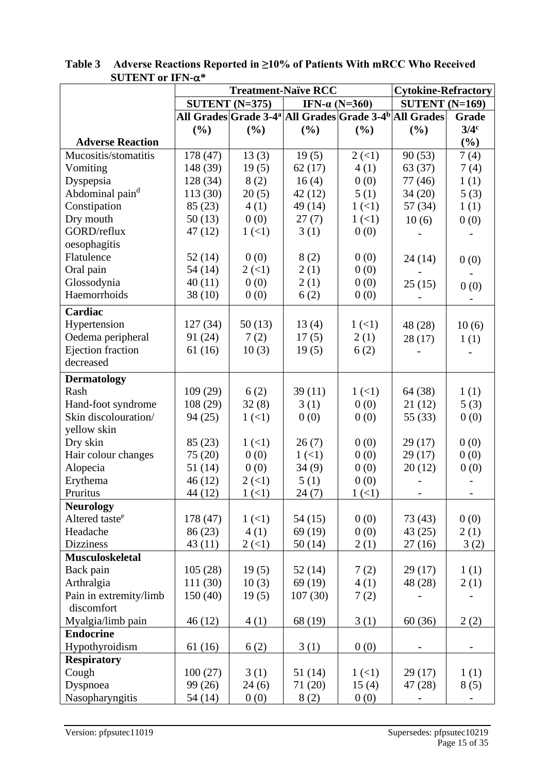|                                       | <b>Treatment-Naïve RCC</b> |                                                                                |         | <b>Cytokine-Refractory</b> |                  |                  |  |
|---------------------------------------|----------------------------|--------------------------------------------------------------------------------|---------|----------------------------|------------------|------------------|--|
|                                       | SUTENT $(N=375)$           |                                                                                |         | IFN- $\alpha$ (N=360)      | SUTENT $(N=169)$ |                  |  |
|                                       |                            | All Grades Grade 3-4 <sup>a</sup> All Grades Grade 3-4 <sup>b</sup> All Grades |         |                            |                  | Grade            |  |
|                                       | (%)                        | (%)                                                                            | (%)     | (%)                        | (%)              | 3/4 <sup>c</sup> |  |
| <b>Adverse Reaction</b>               |                            |                                                                                |         |                            |                  | (%)              |  |
| Mucositis/stomatitis                  | 178 (47)                   | 13(3)                                                                          | 19(5)   | 2(1)                       | 90(53)           | 7(4)             |  |
| Vomiting                              | 148 (39)                   | 19(5)                                                                          | 62(17)  | 4(1)                       | 63 (37)          | 7(4)             |  |
| Dyspepsia                             | 128 (34)                   | 8(2)                                                                           | 16(4)   | 0(0)                       | 77 (46)          | 1(1)             |  |
| Abdominal paind                       | 113 (30)                   | 20(5)                                                                          | 42(12)  | 5(1)                       | 34(20)           | 5(3)             |  |
| Constipation                          | 85(23)                     | 4(1)                                                                           | 49 (14) | 1(1)                       | 57 (34)          | 1(1)             |  |
| Dry mouth                             | 50(13)                     | 0(0)                                                                           | 27(7)   | 1(1)                       | 10(6)            | 0(0)             |  |
| GORD/reflux                           | 47 (12)                    | 1(1)                                                                           | 3(1)    | 0(0)                       |                  |                  |  |
| oesophagitis                          |                            |                                                                                |         |                            |                  |                  |  |
| Flatulence                            | 52 (14)                    | 0(0)                                                                           | 8(2)    | 0(0)                       | 24(14)           | 0(0)             |  |
| Oral pain                             | 54 (14)                    | 2(1)                                                                           | 2(1)    | 0(0)                       |                  |                  |  |
| Glossodynia                           | 40(11)                     | 0(0)                                                                           | 2(1)    | 0(0)                       | 25(15)           | 0(0)             |  |
| Haemorrhoids                          | 38(10)                     | 0(0)                                                                           | 6(2)    | 0(0)                       |                  |                  |  |
| Cardiac                               |                            |                                                                                |         |                            |                  |                  |  |
| Hypertension                          | 127(34)                    | 50(13)                                                                         | 13(4)   | 1(1)                       | 48 (28)          | 10(6)            |  |
| Oedema peripheral                     | 91 (24)                    | 7(2)                                                                           | 17(5)   | 2(1)                       | 28(17)           | 1(1)             |  |
| Ejection fraction                     | 61(16)                     | 10(3)                                                                          | 19(5)   | 6(2)                       |                  |                  |  |
| decreased                             |                            |                                                                                |         |                            |                  |                  |  |
|                                       |                            |                                                                                |         |                            |                  |                  |  |
| <b>Dermatology</b>                    |                            |                                                                                |         |                            |                  |                  |  |
| Rash                                  | 109(29)                    | 6(2)                                                                           | 39(11)  | 1(1)                       | 64 (38)          | 1(1)             |  |
| Hand-foot syndrome                    | 108(29)                    | 32(8)                                                                          | 3(1)    | 0(0)                       | 21(12)           | 5(3)             |  |
| Skin discolouration/                  | 94 (25)                    | 1(1)                                                                           | 0(0)    | 0(0)                       | 55 (33)          | 0(0)             |  |
| yellow skin                           |                            |                                                                                |         |                            |                  |                  |  |
| Dry skin                              | 85(23)                     | 1(1)                                                                           | 26(7)   | 0(0)                       | 29(17)           | 0(0)             |  |
| Hair colour changes                   | 75 (20)                    | 0(0)                                                                           | 1(1)    | 0(0)                       | 29(17)           | 0(0)             |  |
| Alopecia                              | 51 (14)                    | 0(0)                                                                           | 34(9)   | 0(0)                       | 20(12)           | 0(0)             |  |
| Erythema                              | 46(12)                     | $2 \left( \leq 1 \right)$                                                      | 5(1)    | 0(0)                       |                  |                  |  |
| Pruritus                              | 44 (12)                    | 1(1)                                                                           | 24(7)   | 1(1)                       |                  |                  |  |
| <b>Neurology</b>                      |                            |                                                                                |         |                            |                  |                  |  |
| Altered taste <sup>e</sup>            | 178 (47)                   | 1(1)                                                                           | 54(15)  | 0(0)                       | 73(43)           | 0(0)             |  |
| Headache                              | 86 (23)                    | 4(1)                                                                           | 69 (19) | 0(0)                       | 43(25)           | 2(1)             |  |
| <b>Dizziness</b>                      | 43(11)                     | $2 \left( \leq 1 \right)$                                                      | 50(14)  | 2(1)                       | 27(16)           | 3(2)             |  |
| <b>Musculoskeletal</b>                |                            |                                                                                |         |                            |                  |                  |  |
| Back pain                             | 105(28)                    | 19(5)                                                                          | 52(14)  | 7(2)                       | 29(17)           | 1(1)             |  |
| Arthralgia                            | 111(30)                    | 10(3)                                                                          | 69(19)  | 4(1)                       | 48 (28)          | 2(1)             |  |
| Pain in extremity/limb<br>discomfort  | 150(40)                    | 19(5)                                                                          | 107(30) | 7(2)                       |                  |                  |  |
|                                       |                            |                                                                                |         |                            |                  |                  |  |
| Myalgia/limb pain<br><b>Endocrine</b> | 46 (12)                    | 4(1)                                                                           | 68 (19) | 3(1)                       | 60(36)           | 2(2)             |  |
| Hypothyroidism                        | 61 (16)                    | 6(2)                                                                           |         | 0(0)                       |                  |                  |  |
| <b>Respiratory</b>                    |                            |                                                                                | 3(1)    |                            |                  |                  |  |
| Cough                                 | 100(27)                    | 3(1)                                                                           | 51(14)  | 1(1)                       | 29 (17)          | 1(1)             |  |
| Dyspnoea                              | 99 (26)                    | 24(6)                                                                          | 71(20)  | 15(4)                      | 47(28)           | 8(5)             |  |
| Nasopharyngitis                       | 54 (14)                    | 0(0)                                                                           | 8(2)    | 0(0)                       |                  |                  |  |
|                                       |                            |                                                                                |         |                            |                  |                  |  |

**Table 3 Adverse Reactions Reported in ≥10% of Patients With mRCC Who Received SUTENT or IFN-\***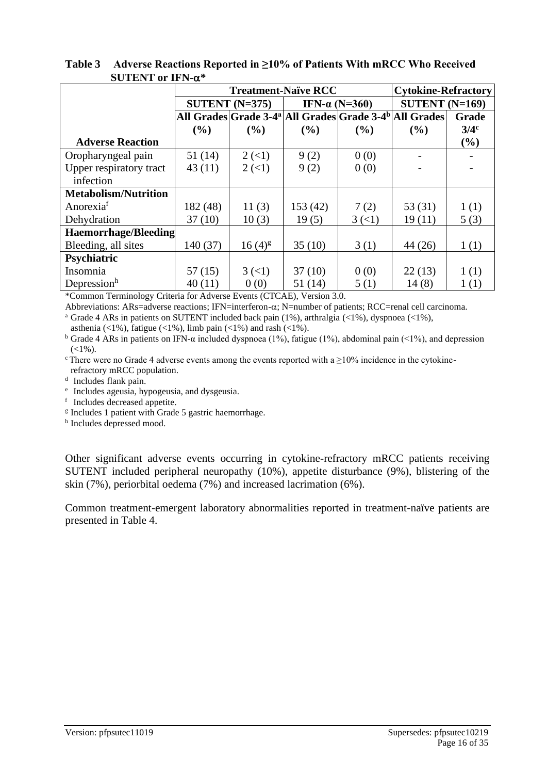|                             |          | <b>Treatment-Naïve RCC</b> | <b>Cytokine-Refractory</b> |                                                                                |                  |         |
|-----------------------------|----------|----------------------------|----------------------------|--------------------------------------------------------------------------------|------------------|---------|
|                             |          | SUTENT $(N=375)$           | IFN- $\alpha$ (N=360)      |                                                                                | SUTENT $(N=169)$ |         |
|                             |          |                            |                            | All Grades Grade 3-4 <sup>a</sup> All Grades Grade 3-4 <sup>b</sup> All Grades |                  | Grade   |
|                             | (%)      | $($ %)                     | (%)                        | (%)                                                                            | $($ %)           | $3/4^c$ |
| <b>Adverse Reaction</b>     |          |                            |                            |                                                                                |                  | (%)     |
| Oropharyngeal pain          | 51(14)   | $2 \left( \leq 1 \right)$  | 9(2)                       | 0(0)                                                                           |                  |         |
| Upper respiratory tract     | 43(11)   | $2 \left( \leq 1 \right)$  | 9(2)                       | 0(0)                                                                           |                  |         |
| infection                   |          |                            |                            |                                                                                |                  |         |
| <b>Metabolism/Nutrition</b> |          |                            |                            |                                                                                |                  |         |
| Anorexia <sup>f</sup>       | 182 (48) | 11(3)                      | 153(42)                    | 7(2)                                                                           | 53 $(31)$        | 1(1)    |
| Dehydration                 | 37(10)   | 10(3)                      | 19(5)                      | $3 \left( \leq 1 \right)$                                                      | 19(11)           | 5(3)    |
| <b>Haemorrhage/Bleeding</b> |          |                            |                            |                                                                                |                  |         |
| Bleeding, all sites         | 140 (37) | $16(4)^{g}$                | 35(10)                     | 3(1)                                                                           | 44(26)           | 1(1)    |
| Psychiatric                 |          |                            |                            |                                                                                |                  |         |
| Insomnia                    | 57(15)   | $3 \left( \leq 1 \right)$  | 37(10)                     | 0(0)                                                                           | 22(13)           | 1(1)    |
| Depressionh                 | 40(11)   | 0(0)                       | 51 (14)                    | 5(1)                                                                           | 14(8)            | 1(1)    |

**Table 3 Adverse Reactions Reported in ≥10% of Patients With mRCC Who Received SUTENT or IFN-\***

\*Common Terminology Criteria for Adverse Events (CTCAE), Version 3.0.

Abbreviations: ARs=adverse reactions; IFN=interferon- $\alpha$ ; N=number of patients; RCC=renal cell carcinoma.

<sup>a</sup> Grade 4 ARs in patients on SUTENT included back pain (1%), arthralgia (<1%), dyspnoea (<1%),

asthenia (<1%), fatigue (<1%), limb pain (<1%) and rash (<1%).

<sup>b</sup> Grade 4 ARs in patients on IFN-α included dyspnoea (1%), fatigue (1%), abdominal pain (<1%), and depression  $(<1\%)$ .

 $\degree$ There were no Grade 4 adverse events among the events reported with a  $\geq$ 10% incidence in the cytokine-

refractory mRCC population.

<sup>d</sup> Includes flank pain.

e Includes ageusia, hypogeusia, and dysgeusia.

f Includes decreased appetite.

<sup>g</sup> Includes 1 patient with Grade 5 gastric haemorrhage.

h Includes depressed mood.

Other significant adverse events occurring in cytokine-refractory mRCC patients receiving SUTENT included peripheral neuropathy (10%), appetite disturbance (9%), blistering of the skin (7%), periorbital oedema (7%) and increased lacrimation (6%).

Common treatment-emergent laboratory abnormalities reported in treatment-naïve patients are presented in Table 4.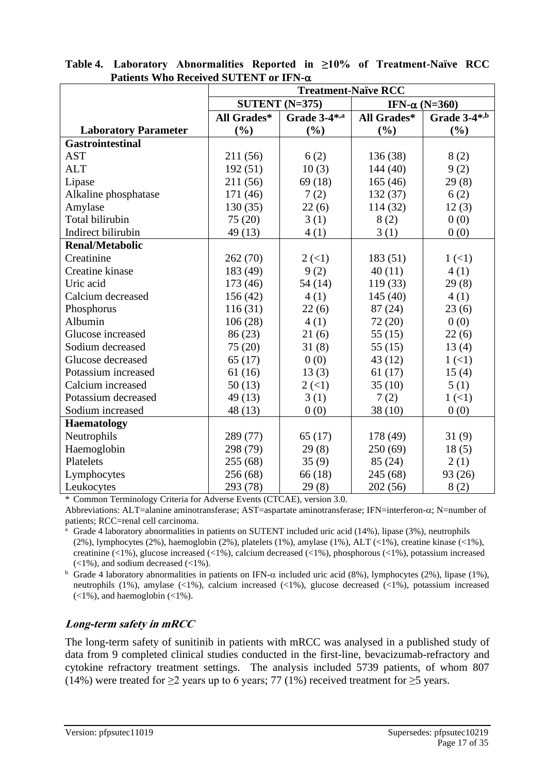|                             | <b>Treatment-Naïve RCC</b> |              |                       |              |  |  |  |
|-----------------------------|----------------------------|--------------|-----------------------|--------------|--|--|--|
|                             | SUTENT $(N=375)$           |              | IFN- $\alpha$ (N=360) |              |  |  |  |
|                             | All Grades*                | Grade 3-4*,a | All Grades*           | Grade 3-4*,b |  |  |  |
| <b>Laboratory Parameter</b> | (%)                        | (%)          | (%)                   | (%)          |  |  |  |
| <b>Gastrointestinal</b>     |                            |              |                       |              |  |  |  |
| <b>AST</b>                  | 211 (56)                   | 6(2)         | 136 (38)              | 8(2)         |  |  |  |
| <b>ALT</b>                  | 192(51)                    | 10(3)        | 144(40)               | 9(2)         |  |  |  |
| Lipase                      | 211 (56)                   | 69(18)       | 165(46)               | 29(8)        |  |  |  |
| Alkaline phosphatase        | 171 (46)                   | 7(2)         | 132(37)               | 6(2)         |  |  |  |
| Amylase                     | 130(35)                    | 22(6)        | 114 (32)              | 12(3)        |  |  |  |
| Total bilirubin             | 75 (20)                    | 3(1)         | 8(2)                  | 0(0)         |  |  |  |
| Indirect bilirubin          | 49 (13)                    | 4(1)         | 3(1)                  | 0(0)         |  |  |  |
| <b>Renal/Metabolic</b>      |                            |              |                       |              |  |  |  |
| Creatinine                  | 262 (70)                   | 2(1)         | 183(51)               | 1(1)         |  |  |  |
| Creatine kinase             | 183 (49)                   | 9(2)         | 40(11)                | 4(1)         |  |  |  |
| Uric acid                   | 173 (46)                   | 54(14)       | 119(33)               | 29(8)        |  |  |  |
| Calcium decreased           | 156(42)                    | 4(1)         | 145(40)               | 4(1)         |  |  |  |
| Phosphorus                  | 116(31)                    | 22(6)        | 87(24)                | 23(6)        |  |  |  |
| Albumin                     | 106(28)                    | 4(1)         | 72 (20)               | 0(0)         |  |  |  |
| Glucose increased           | 86 (23)                    | 21(6)        | 55 $(15)$             | 22(6)        |  |  |  |
| Sodium decreased            | 75 (20)                    | 31(8)        | 55 $(15)$             | 13(4)        |  |  |  |
| Glucose decreased           | 65(17)                     | 0(0)         | 43 (12)               | 1(1)         |  |  |  |
| Potassium increased         | 61(16)                     | 13(3)        | 61(17)                | 15(4)        |  |  |  |
| Calcium increased           | 50(13)                     | 2(1)         | 35(10)                | 5(1)         |  |  |  |
| Potassium decreased         | 49 (13)                    | 3(1)         | 7(2)                  | 1(1)         |  |  |  |
| Sodium increased            | 48 (13)                    | 0(0)         | 38(10)                | 0(0)         |  |  |  |
| <b>Haematology</b>          |                            |              |                       |              |  |  |  |
| Neutrophils                 | 289 (77)                   | 65(17)       | 178 (49)              | 31(9)        |  |  |  |
| Haemoglobin                 | 298 (79)                   | 29(8)        | 250(69)               | 18(5)        |  |  |  |
| Platelets                   | 255 (68)                   | 35(9)        | 85(24)                | 2(1)         |  |  |  |
| Lymphocytes                 | 256 (68)                   | 66 (18)      | 245 (68)              | 93 (26)      |  |  |  |
| Leukocytes                  | 293 (78)                   | 29(8)        | 202(56)               | 8(2)         |  |  |  |

**Table 4. Laboratory Abnormalities Reported in ≥10% of Treatment-Naïve RCC Patients Who Received SUTENT or IFN-**

\* Common Terminology Criteria for Adverse Events (CTCAE), version 3.0.

Abbreviations: ALT=alanine aminotransferase; AST=aspartate aminotransferase; IFN=interferon-α; N=number of patients; RCC=renal cell carcinoma.

Grade 4 laboratory abnormalities in patients on SUTENT included uric acid (14%), lipase (3%), neutrophils (2%), lymphocytes (2%), haemoglobin (2%), platelets (1%), amylase (1%), ALT (<1%), creatine kinase (<1%), creatinine (<1%), glucose increased (<1%), calcium decreased (<1%), phosphorous (<1%), potassium increased (<1%), and sodium decreased (<1%).

<sup>b</sup> Grade 4 laboratory abnormalities in patients on IFN- $\alpha$  included uric acid (8%), lymphocytes (2%), lipase (1%), neutrophils (1%), amylase (<1%), calcium increased (<1%), glucose decreased (<1%), potassium increased  $(<1\%)$ , and haemoglobin  $(<1\%)$ .

## **Long-term safety in mRCC**

The long-term safety of sunitinib in patients with mRCC was analysed in a published study of data from 9 completed clinical studies conducted in the first-line, bevacizumab-refractory and cytokine refractory treatment settings. The analysis included 5739 patients, of whom 807 (14%) were treated for >2 years up to 6 years; 77 (1%) received treatment for >5 years.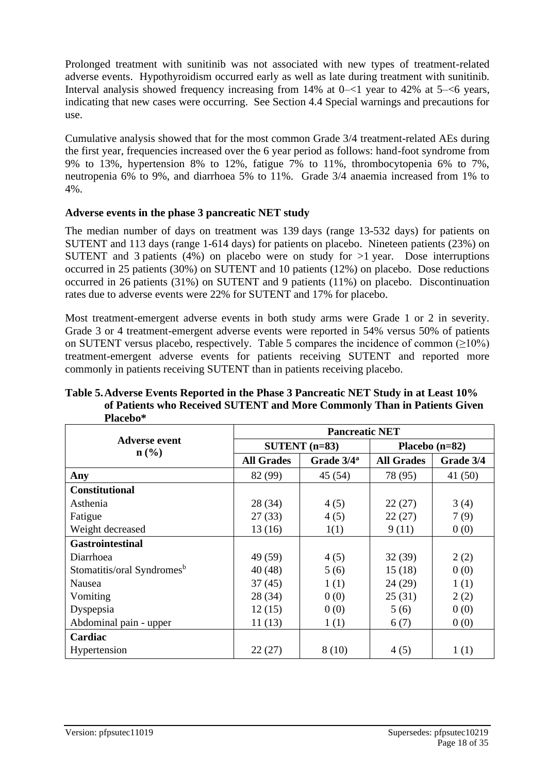Prolonged treatment with sunitinib was not associated with new types of treatment-related adverse events. Hypothyroidism occurred early as well as late during treatment with sunitinib. Interval analysis showed frequency increasing from 14% at 0–<1 year to 42% at 5–<6 years, indicating that new cases were occurring. See Section 4.4 Special warnings and precautions for use.

Cumulative analysis showed that for the most common Grade 3/4 treatment-related AEs during the first year, frequencies increased over the 6 year period as follows: hand-foot syndrome from 9% to 13%, hypertension 8% to 12%, fatigue 7% to 11%, thrombocytopenia 6% to 7%, neutropenia 6% to 9%, and diarrhoea 5% to 11%. Grade 3/4 anaemia increased from 1% to 4%.

## **Adverse events in the phase 3 pancreatic NET study**

The median number of days on treatment was 139 days (range 13-532 days) for patients on SUTENT and 113 days (range 1-614 days) for patients on placebo. Nineteen patients (23%) on SUTENT and 3 patients (4%) on placebo were on study for  $>1$  year. Dose interruptions occurred in 25 patients (30%) on SUTENT and 10 patients (12%) on placebo. Dose reductions occurred in 26 patients (31%) on SUTENT and 9 patients (11%) on placebo. Discontinuation rates due to adverse events were 22% for SUTENT and 17% for placebo.

Most treatment-emergent adverse events in both study arms were Grade 1 or 2 in severity. Grade 3 or 4 treatment-emergent adverse events were reported in 54% versus 50% of patients on SUTENT versus placebo, respectively. Table 5 compares the incidence of common  $(≥10%)$ treatment-emergent adverse events for patients receiving SUTENT and reported more commonly in patients receiving SUTENT than in patients receiving placebo.

|                                                     | <b>Pancreatic NET</b> |                        |                   |           |  |  |  |
|-----------------------------------------------------|-----------------------|------------------------|-------------------|-----------|--|--|--|
| <b>Adverse event</b><br>$n\left(\frac{0}{0}\right)$ |                       | $SUTENT$ (n=83)        | Placebo $(n=82)$  |           |  |  |  |
|                                                     | <b>All Grades</b>     | Grade 3/4 <sup>a</sup> | <b>All Grades</b> | Grade 3/4 |  |  |  |
| Any                                                 | 82 (99)               | 45 (54)                | 78 (95)           | 41(50)    |  |  |  |
| <b>Constitutional</b>                               |                       |                        |                   |           |  |  |  |
| Asthenia                                            | 28 (34)               | 4(5)                   | 22(27)            | 3(4)      |  |  |  |
| Fatigue                                             | 27(33)                | 4(5)                   | 22(27)            | 7(9)      |  |  |  |
| Weight decreased                                    | 13(16)                | 1(1)                   | 9(11)             | 0(0)      |  |  |  |
| <b>Gastrointestinal</b>                             |                       |                        |                   |           |  |  |  |
| Diarrhoea                                           | 49 (59)               | 4(5)                   | 32(39)            | 2(2)      |  |  |  |
| Stomatitis/oral Syndromes <sup>b</sup>              | 40(48)                | 5(6)                   | 15(18)            | 0(0)      |  |  |  |
| Nausea                                              | 37(45)                | 1(1)                   | 24(29)            | 1(1)      |  |  |  |
| Vomiting                                            | 28 (34)               | 0(0)                   | 25(31)            | 2(2)      |  |  |  |
| Dyspepsia                                           | 12(15)                | 0(0)                   | 5(6)              | 0(0)      |  |  |  |
| Abdominal pain - upper                              | 11(13)                | 1(1)                   | 6(7)              | 0(0)      |  |  |  |
| Cardiac                                             |                       |                        |                   |           |  |  |  |
| Hypertension                                        | 22(27)                | 8(10)                  | 4(5)              | 1(1)      |  |  |  |

#### **Table 5.Adverse Events Reported in the Phase 3 Pancreatic NET Study in at Least 10% of Patients who Received SUTENT and More Commonly Than in Patients Given Placebo\***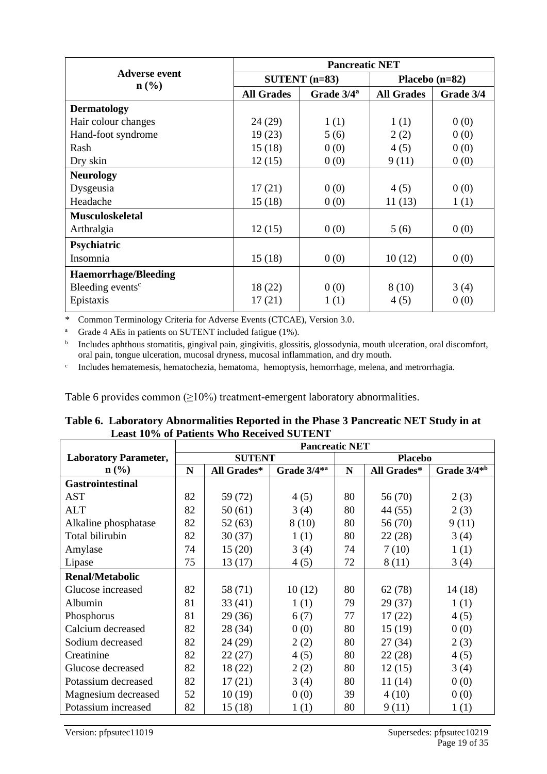|                                                     | <b>Pancreatic NET</b> |                        |                   |           |  |  |
|-----------------------------------------------------|-----------------------|------------------------|-------------------|-----------|--|--|
| <b>Adverse event</b><br>$n\left(\frac{0}{0}\right)$ |                       | $SUTENT$ (n=83)        | Placebo $(n=82)$  |           |  |  |
|                                                     | <b>All Grades</b>     | Grade 3/4 <sup>a</sup> | <b>All Grades</b> | Grade 3/4 |  |  |
| <b>Dermatology</b>                                  |                       |                        |                   |           |  |  |
| Hair colour changes                                 | 24 (29)               | 1(1)                   | 1(1)              | 0(0)      |  |  |
| Hand-foot syndrome                                  | 19(23)                | 5(6)                   | 2(2)              | 0(0)      |  |  |
| Rash                                                | 15(18)                | 0(0)                   | 4(5)              | 0(0)      |  |  |
| Dry skin                                            | 12(15)                | 0(0)                   | 9(11)             | 0(0)      |  |  |
| <b>Neurology</b>                                    |                       |                        |                   |           |  |  |
| Dysgeusia                                           | 17(21)                | 0(0)                   | 4(5)              | 0(0)      |  |  |
| Headache                                            | 15(18)                | 0(0)                   | 11(13)            | 1(1)      |  |  |
| <b>Musculoskeletal</b>                              |                       |                        |                   |           |  |  |
| Arthralgia                                          | 12(15)                | 0(0)                   | 5(6)              | 0(0)      |  |  |
| Psychiatric                                         |                       |                        |                   |           |  |  |
| Insomnia                                            | 15(18)                | 0(0)                   | 10(12)            | 0(0)      |  |  |
| <b>Haemorrhage/Bleeding</b>                         |                       |                        |                   |           |  |  |
| Bleeding events <sup>c</sup>                        | 18 (22)               | 0(0)                   | 8(10)             | 3(4)      |  |  |
| Epistaxis                                           | 17(21)                | 1(1)                   | 4(5)              | 0(0)      |  |  |

\* Common Terminology Criteria for Adverse Events (CTCAE), Version 3.0.

<sup>a</sup> Grade 4 AEs in patients on SUTENT included fatigue (1%).

 $\mathbf b$ Includes aphthous stomatitis, gingival pain, gingivitis, glossitis, glossodynia, mouth ulceration, oral discomfort, oral pain, tongue ulceration, mucosal dryness, mucosal inflammation, and dry mouth.

c Includes hematemesis, hematochezia, hematoma, hemoptysis, hemorrhage, melena, and metrorrhagia.

Table 6 provides common  $(\geq 10\%)$  treatment-emergent laboratory abnormalities.

| Table 6. Laboratory Abnormalities Reported in the Phase 3 Pancreatic NET Study in at |
|--------------------------------------------------------------------------------------|
| <b>Least 10% of Patients Who Received SUTENT</b>                                     |

|                              | <b>Pancreatic NET</b> |               |                         |                |             |                         |
|------------------------------|-----------------------|---------------|-------------------------|----------------|-------------|-------------------------|
| <b>Laboratory Parameter,</b> |                       | <b>SUTENT</b> |                         | <b>Placebo</b> |             |                         |
| $n\left(\frac{0}{0}\right)$  | N                     | All Grades*   | Grade 3/4 <sup>*a</sup> | N              | All Grades* | Grade 3/4 <sup>*b</sup> |
| <b>Gastrointestinal</b>      |                       |               |                         |                |             |                         |
| <b>AST</b>                   | 82                    | 59 (72)       | 4(5)                    | 80             | 56 (70)     | 2(3)                    |
| <b>ALT</b>                   | 82                    | 50(61)        | 3(4)                    | 80             | 44 (55)     | 2(3)                    |
| Alkaline phosphatase         | 82                    | 52(63)        | 8(10)                   | 80             | 56 (70)     | 9(11)                   |
| Total bilirubin              | 82                    | 30(37)        | 1(1)                    | 80             | 22(28)      | 3(4)                    |
| Amylase                      | 74                    | 15(20)        | 3(4)                    | 74             | 7(10)       | 1(1)                    |
| Lipase                       | 75                    | 13(17)        | 4(5)                    | 72             | 8 (11)      | 3(4)                    |
| <b>Renal/Metabolic</b>       |                       |               |                         |                |             |                         |
| Glucose increased            | 82                    | 58 (71)       | 10(12)                  | 80             | 62(78)      | 14(18)                  |
| Albumin                      | 81                    | 33(41)        | 1(1)                    | 79             | 29(37)      | 1(1)                    |
| Phosphorus                   | 81                    | 29(36)        | 6(7)                    | 77             | 17(22)      | 4(5)                    |
| Calcium decreased            | 82                    | 28 (34)       | 0(0)                    | 80             | 15(19)      | 0(0)                    |
| Sodium decreased             | 82                    | 24 (29)       | 2(2)                    | 80             | 27(34)      | 2(3)                    |
| Creatinine                   | 82                    | 22(27)        | 4(5)                    | 80             | 22(28)      | 4(5)                    |
| Glucose decreased            | 82                    | 18 (22)       | 2(2)                    | 80             | 12(15)      | 3(4)                    |
| Potassium decreased          | 82                    | 17(21)        | 3(4)                    | 80             | 11(14)      | 0(0)                    |
| Magnesium decreased          | 52                    | 10(19)        | 0(0)                    | 39             | 4(10)       | 0(0)                    |
| Potassium increased          | 82                    | 15(18)        | 1(1)                    | 80             | 9(11)       | 1(1)                    |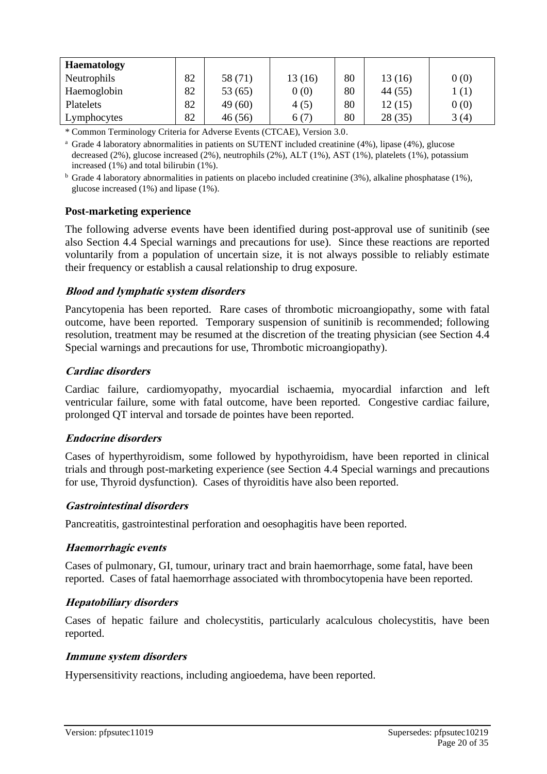| <b>Haematology</b> |    |         |        |    |         |      |
|--------------------|----|---------|--------|----|---------|------|
| Neutrophils        | 82 | 58 (71) | 13(16) | 80 | 13(16)  | 0(0) |
| Haemoglobin        | 82 | 53(65)  | 0(0)   | 80 | 44 (55) | 1(1) |
| Platelets          | 82 | 49(60)  | 4(5)   | 80 | 12(15)  | 0(0) |
| Lymphocytes        | 82 | 46 (56) | 6(7)   | 80 | 28(35)  | 3(4) |

\* Common Terminology Criteria for Adverse Events (CTCAE), Version 3.0.

<sup>a</sup> Grade 4 laboratory abnormalities in patients on SUTENT included creatinine (4%), lipase (4%), glucose decreased (2%), glucose increased (2%), neutrophils (2%), ALT (1%), AST (1%), platelets (1%), potassium increased (1%) and total bilirubin (1%).

<sup>b</sup> Grade 4 laboratory abnormalities in patients on placebo included creatinine (3%), alkaline phosphatase (1%), glucose increased (1%) and lipase (1%).

#### **Post-marketing experience**

The following adverse events have been identified during post-approval use of sunitinib (see also Section 4.4 Special warnings and precautions for use). Since these reactions are reported voluntarily from a population of uncertain size, it is not always possible to reliably estimate their frequency or establish a causal relationship to drug exposure.

#### **Blood and lymphatic system disorders**

Pancytopenia has been reported. Rare cases of thrombotic microangiopathy, some with fatal outcome, have been reported. Temporary suspension of sunitinib is recommended; following resolution, treatment may be resumed at the discretion of the treating physician (see Section 4.4 Special warnings and precautions for use, Thrombotic microangiopathy).

#### **Cardiac disorders**

Cardiac failure, cardiomyopathy, myocardial ischaemia, myocardial infarction and left ventricular failure, some with fatal outcome, have been reported. Congestive cardiac failure, prolonged QT interval and torsade de pointes have been reported.

#### **Endocrine disorders**

Cases of hyperthyroidism, some followed by hypothyroidism, have been reported in clinical trials and through post-marketing experience (see Section 4.4 Special warnings and precautions for use, Thyroid dysfunction). Cases of thyroiditis have also been reported.

#### **Gastrointestinal disorders**

Pancreatitis, gastrointestinal perforation and oesophagitis have been reported.

#### **Haemorrhagic events**

Cases of pulmonary, GI, tumour, urinary tract and brain haemorrhage, some fatal, have been reported. Cases of fatal haemorrhage associated with thrombocytopenia have been reported.

### **Hepatobiliary disorders**

Cases of hepatic failure and cholecystitis, particularly acalculous cholecystitis, have been reported.

#### **Immune system disorders**

Hypersensitivity reactions, including angioedema, have been reported.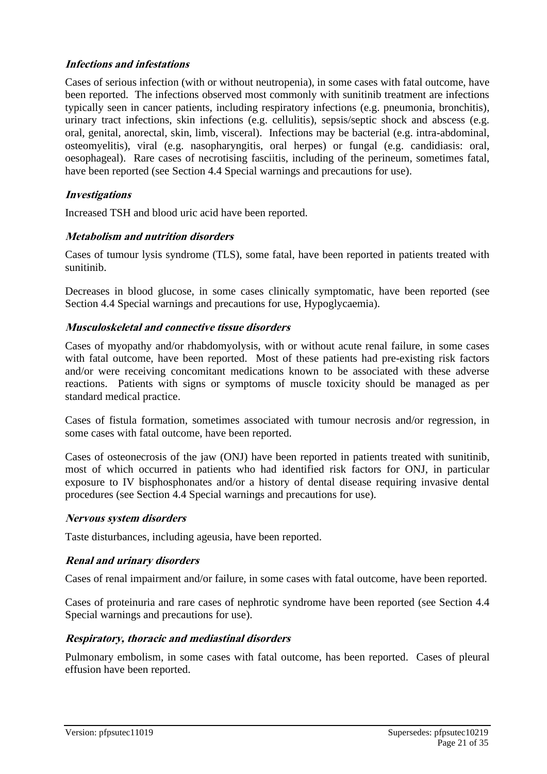### **Infections and infestations**

Cases of serious infection (with or without neutropenia), in some cases with fatal outcome, have been reported. The infections observed most commonly with sunitinib treatment are infections typically seen in cancer patients, including respiratory infections (e.g. pneumonia, bronchitis), urinary tract infections, skin infections (e.g. cellulitis), sepsis/septic shock and abscess (e.g. oral, genital, anorectal, skin, limb, visceral). Infections may be bacterial (e.g. intra-abdominal, osteomyelitis), viral (e.g. nasopharyngitis, oral herpes) or fungal (e.g. candidiasis: oral, oesophageal). Rare cases of necrotising fasciitis, including of the perineum, sometimes fatal, have been reported (see Section 4.4 Special warnings and precautions for use).

## **Investigations**

Increased TSH and blood uric acid have been reported.

## **Metabolism and nutrition disorders**

Cases of tumour lysis syndrome (TLS), some fatal, have been reported in patients treated with sunitinib.

Decreases in blood glucose, in some cases clinically symptomatic, have been reported (see Section 4.4 Special warnings and precautions for use, Hypoglycaemia).

## **Musculoskeletal and connective tissue disorders**

Cases of myopathy and/or rhabdomyolysis, with or without acute renal failure, in some cases with fatal outcome, have been reported. Most of these patients had pre-existing risk factors and/or were receiving concomitant medications known to be associated with these adverse reactions. Patients with signs or symptoms of muscle toxicity should be managed as per standard medical practice.

Cases of fistula formation, sometimes associated with tumour necrosis and/or regression, in some cases with fatal outcome, have been reported.

Cases of osteonecrosis of the jaw (ONJ) have been reported in patients treated with sunitinib, most of which occurred in patients who had identified risk factors for ONJ, in particular exposure to IV bisphosphonates and/or a history of dental disease requiring invasive dental procedures (see Section 4.4 Special warnings and precautions for use).

### **Nervous system disorders**

Taste disturbances, including ageusia, have been reported.

### **Renal and urinary disorders**

Cases of renal impairment and/or failure, in some cases with fatal outcome, have been reported.

Cases of proteinuria and rare cases of nephrotic syndrome have been reported (see Section 4.4 Special warnings and precautions for use).

### **Respiratory, thoracic and mediastinal disorders**

Pulmonary embolism, in some cases with fatal outcome, has been reported. Cases of pleural effusion have been reported.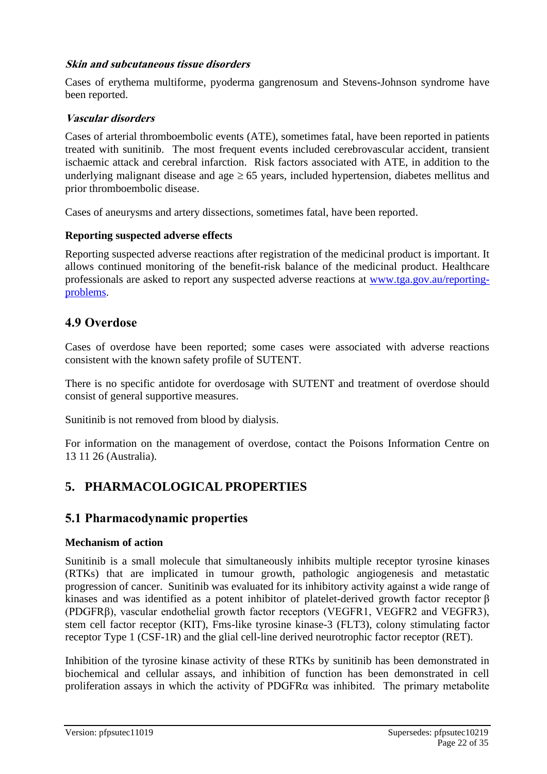## **Skin and subcutaneous tissue disorders**

Cases of erythema multiforme, pyoderma gangrenosum and Stevens-Johnson syndrome have been reported.

### **Vascular disorders**

Cases of arterial thromboembolic events (ATE), sometimes fatal, have been reported in patients treated with sunitinib. The most frequent events included cerebrovascular accident, transient ischaemic attack and cerebral infarction. Risk factors associated with ATE, in addition to the underlying malignant disease and age  $\geq 65$  years, included hypertension, diabetes mellitus and prior thromboembolic disease.

Cases of aneurysms and artery dissections, sometimes fatal, have been reported.

### **Reporting suspected adverse effects**

Reporting suspected adverse reactions after registration of the medicinal product is important. It allows continued monitoring of the benefit-risk balance of the medicinal product. Healthcare professionals are asked to report any suspected adverse reactions at [www.tga.gov.au/reporting](http://www.tga.gov.au/reporting-problems)[problems.](http://www.tga.gov.au/reporting-problems)

## **4.9 Overdose**

Cases of overdose have been reported; some cases were associated with adverse reactions consistent with the known safety profile of SUTENT.

There is no specific antidote for overdosage with SUTENT and treatment of overdose should consist of general supportive measures.

Sunitinib is not removed from blood by dialysis.

For information on the management of overdose, contact the Poisons Information Centre on 13 11 26 (Australia).

## **5. PHARMACOLOGICAL PROPERTIES**

## **5.1 Pharmacodynamic properties**

### **Mechanism of action**

Sunitinib is a small molecule that simultaneously inhibits multiple receptor tyrosine kinases (RTKs) that are implicated in tumour growth, pathologic angiogenesis and metastatic progression of cancer. Sunitinib was evaluated for its inhibitory activity against a wide range of kinases and was identified as a potent inhibitor of platelet-derived growth factor receptor β (PDGFRβ), vascular endothelial growth factor receptors (VEGFR1, VEGFR2 and VEGFR3), stem cell factor receptor (KIT), Fms-like tyrosine kinase-3 (FLT3), colony stimulating factor receptor Type 1 (CSF-1R) and the glial cell-line derived neurotrophic factor receptor (RET).

Inhibition of the tyrosine kinase activity of these RTKs by sunitinib has been demonstrated in biochemical and cellular assays, and inhibition of function has been demonstrated in cell proliferation assays in which the activity of PDGFRα was inhibited. The primary metabolite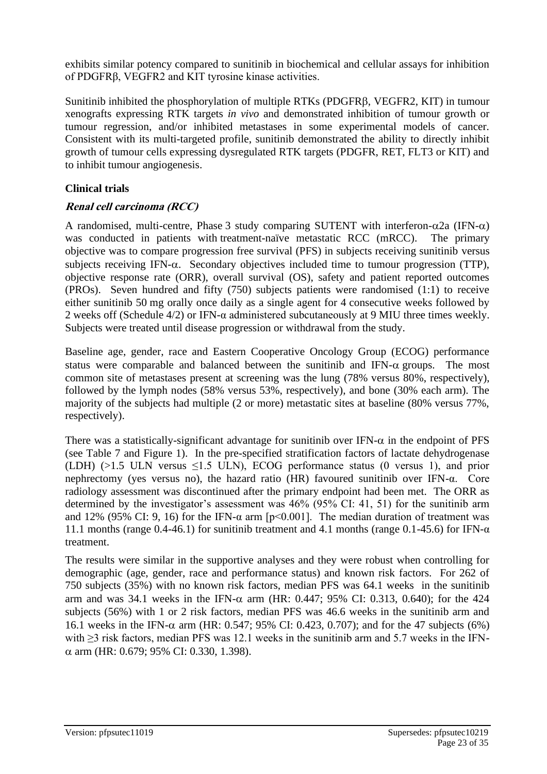exhibits similar potency compared to sunitinib in biochemical and cellular assays for inhibition of PDGFRβ, VEGFR2 and KIT tyrosine kinase activities.

Sunitinib inhibited the phosphorylation of multiple RTKs (PDGFR, VEGFR2, KIT) in tumour xenografts expressing RTK targets *in vivo* and demonstrated inhibition of tumour growth or tumour regression, and/or inhibited metastases in some experimental models of cancer. Consistent with its multi-targeted profile, sunitinib demonstrated the ability to directly inhibit growth of tumour cells expressing dysregulated RTK targets (PDGFR, RET, FLT3 or KIT) and to inhibit tumour angiogenesis.

## **Clinical trials**

## **Renal cell carcinoma (RCC)**

A randomised, multi-centre, Phase 3 study comparing SUTENT with interferon- $\alpha$ 2a (IFN- $\alpha$ ) was conducted in patients with treatment-naïve metastatic RCC (mRCC). The primary objective was to compare progression free survival (PFS) in subjects receiving sunitinib versus subjects receiving IFN- $\alpha$ . Secondary objectives included time to tumour progression (TTP), objective response rate (ORR), overall survival (OS), safety and patient reported outcomes (PROs). Seven hundred and fifty (750) subjects patients were randomised (1:1) to receive either sunitinib 50 mg orally once daily as a single agent for 4 consecutive weeks followed by 2 weeks off (Schedule 4/2) or IFN-α administered subcutaneously at 9 MIU three times weekly. Subjects were treated until disease progression or withdrawal from the study.

Baseline age, gender, race and Eastern Cooperative Oncology Group (ECOG) performance status were comparable and balanced between the sunitinib and IFN- $\alpha$  groups. The most common site of metastases present at screening was the lung (78% versus 80%, respectively), followed by the lymph nodes (58% versus 53%, respectively), and bone (30% each arm). The majority of the subjects had multiple (2 or more) metastatic sites at baseline (80% versus 77%, respectively).

There was a statistically-significant advantage for sunitinib over IFN- $\alpha$  in the endpoint of PFS (see Table 7 and Figure 1). In the pre-specified stratification factors of lactate dehydrogenase (LDH) ( $>1.5$  ULN versus  $\leq 1.5$  ULN), ECOG performance status (0 versus 1), and prior nephrectomy (yes versus no), the hazard ratio (HR) favoured sunitinib over IFN-α. Core radiology assessment was discontinued after the primary endpoint had been met. The ORR as determined by the investigator's assessment was 46% (95% CI: 41, 51) for the sunitinib arm and 12% (95% CI: 9, 16) for the IFN- $\alpha$  arm [p<0.001]. The median duration of treatment was 11.1 months (range 0.4-46.1) for sunitinib treatment and 4.1 months (range 0.1-45.6) for IFN- $\alpha$ treatment.

The results were similar in the supportive analyses and they were robust when controlling for demographic (age, gender, race and performance status) and known risk factors. For 262 of 750 subjects (35%) with no known risk factors, median PFS was 64.1 weeks in the sunitinib arm and was 34.1 weeks in the IFN- $\alpha$  arm (HR: 0.447; 95% CI: 0.313, 0.640); for the 424 subjects (56%) with 1 or 2 risk factors, median PFS was 46.6 weeks in the sunitinib arm and 16.1 weeks in the IFN- $\alpha$  arm (HR: 0.547; 95% CI: 0.423, 0.707); and for the 47 subjects (6%) with ≥3 risk factors, median PFS was 12.1 weeks in the sunitinib arm and 5.7 weeks in the IFN-  $\alpha$  arm (HR: 0.679; 95% CI: 0.330, 1.398).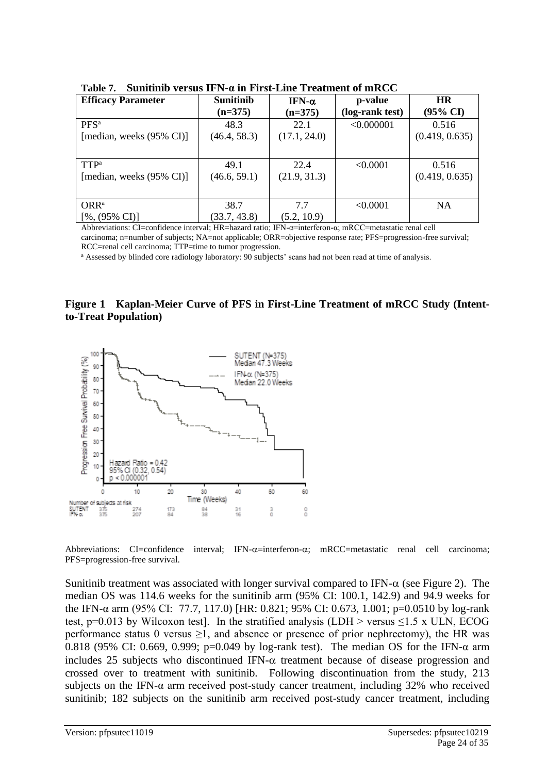| <b>Efficacy Parameter</b>            | <b>Sunitinib</b><br>$(n=375)$ | IFN- $α$<br>$(n=375)$ | p-value<br>(log-rank test) | <b>HR</b><br>$(95\% \text{ CI})$ |
|--------------------------------------|-------------------------------|-----------------------|----------------------------|----------------------------------|
| $PFS^a$                              | 48.3                          | 22.1                  | < 0.000001                 | 0.516                            |
| [median, weeks $(95\% \text{ CI})$ ] | (46.4, 58.3)                  | (17.1, 24.0)          |                            | (0.419, 0.635)                   |
|                                      |                               |                       |                            |                                  |
| $TTP^a$                              | 49.1                          | 22.4                  | < 0.0001                   | 0.516                            |
| [median, weeks $(95\% \text{ CI})$ ] | (46.6, 59.1)                  | (21.9, 31.3)          |                            | (0.419, 0.635)                   |
|                                      |                               |                       |                            |                                  |
| ORR <sup>a</sup>                     | 38.7                          | 7.7                   | < 0.0001                   | <b>NA</b>                        |
| $[%,(95\% \text{ CI})]$              | (33.7, 43.8)                  | (5.2, 10.9)           |                            |                                  |

**Table 7. Sunitinib versus IFN-α in First-Line Treatment of mRCC** 

Abbreviations: CI=confidence interval; HR=hazard ratio; IFN-α=interferon-α; mRCC=metastatic renal cell carcinoma; n=number of subjects; NA=not applicable; ORR=objective response rate; PFS=progression-free survival;

RCC=renal cell carcinoma; TTP=time to tumor progression.

<sup>a</sup> Assessed by blinded core radiology laboratory: 90 subjects' scans had not been read at time of analysis.

### **Figure 1 Kaplan-Meier Curve of PFS in First-Line Treatment of mRCC Study (Intentto-Treat Population)**



Abbreviations: CI=confidence interval; IFN- $\alpha$ =interferon- $\alpha$ ; mRCC=metastatic renal cell carcinoma; PFS=progression-free survival.

Sunitinib treatment was associated with longer survival compared to IFN- $\alpha$  (see Figure 2). The median OS was 114.6 weeks for the sunitinib arm (95% CI: 100.1, 142.9) and 94.9 weeks for the IFN-α arm (95% CI: 77.7, 117.0) [HR: 0.821; 95% CI: 0.673, 1.001; p=0.0510 by log-rank test, p=0.013 by Wilcoxon test]. In the stratified analysis (LDH > versus  $\leq$ 1.5 x ULN, ECOG performance status 0 versus  $\geq 1$ , and absence or presence of prior nephrectomy), the HR was 0.818 (95% CI: 0.669, 0.999; p=0.049 by log-rank test). The median OS for the IFN-α arm includes 25 subjects who discontinued IFN- $\alpha$  treatment because of disease progression and crossed over to treatment with sunitinib. Following discontinuation from the study, 213 subjects on the IFN-α arm received post-study cancer treatment, including 32% who received sunitinib; 182 subjects on the sunitinib arm received post-study cancer treatment, including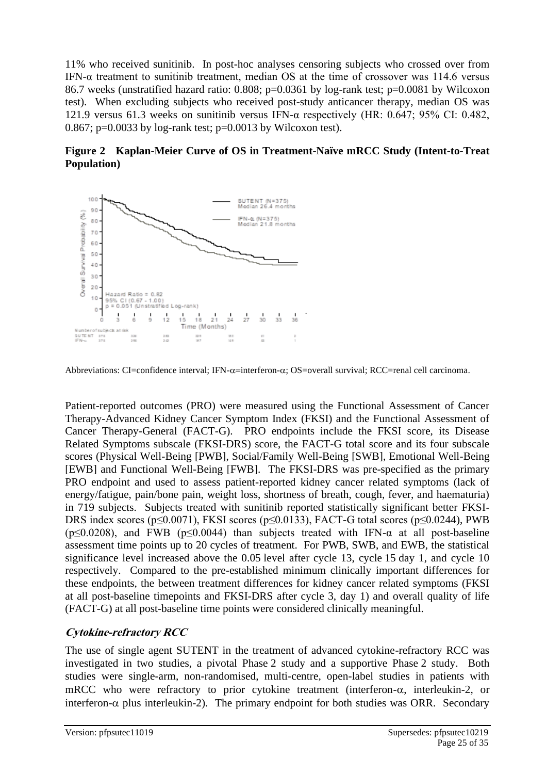11% who received sunitinib. In post-hoc analyses censoring subjects who crossed over from IFN-α treatment to sunitinib treatment, median OS at the time of crossover was 114.6 versus 86.7 weeks (unstratified hazard ratio: 0.808; p=0.0361 by log-rank test; p=0.0081 by Wilcoxon test). When excluding subjects who received post-study anticancer therapy, median OS was 121.9 versus 61.3 weeks on sunitinib versus IFN- $\alpha$  respectively (HR: 0.647; 95% CI: 0.482, 0.867; p=0.0033 by log-rank test; p=0.0013 by Wilcoxon test).

**Figure 2 Kaplan-Meier Curve of OS in Treatment-Naïve mRCC Study (Intent-to-Treat Population)**



Abbreviations: CI=confidence interval; IFN- $\alpha$ =interferon- $\alpha$ ; OS=overall survival; RCC=renal cell carcinoma.

Patient-reported outcomes (PRO) were measured using the Functional Assessment of Cancer Therapy-Advanced Kidney Cancer Symptom Index (FKSI) and the Functional Assessment of Cancer Therapy-General (FACT-G). PRO endpoints include the FKSI score, its Disease Related Symptoms subscale (FKSI-DRS) score, the FACT-G total score and its four subscale scores (Physical Well-Being [PWB], Social/Family Well-Being [SWB], Emotional Well-Being [EWB] and Functional Well-Being [FWB]. The FKSI-DRS was pre-specified as the primary PRO endpoint and used to assess patient-reported kidney cancer related symptoms (lack of energy/fatigue, pain/bone pain, weight loss, shortness of breath, cough, fever, and haematuria) in 719 subjects. Subjects treated with sunitinib reported statistically significant better FKSI-DRS index scores ( $p \le 0.0071$ ), FKSI scores ( $p \le 0.0133$ ), FACT-G total scores ( $p \le 0.0244$ ), PWB ( $p \le 0.0208$ ), and FWB ( $p \le 0.0044$ ) than subjects treated with IFN- $\alpha$  at all post-baseline assessment time points up to 20 cycles of treatment. For PWB, SWB, and EWB, the statistical significance level increased above the 0.05 level after cycle 13, cycle 15 day 1, and cycle 10 respectively. Compared to the pre-established minimum clinically important differences for these endpoints, the between treatment differences for kidney cancer related symptoms (FKSI at all post-baseline timepoints and FKSI-DRS after cycle 3, day 1) and overall quality of life (FACT-G) at all post-baseline time points were considered clinically meaningful.

## **Cytokine-refractory RCC**

The use of single agent SUTENT in the treatment of advanced cytokine-refractory RCC was investigated in two studies, a pivotal Phase 2 study and a supportive Phase 2 study. Both studies were single-arm, non-randomised, multi-centre, open-label studies in patients with mRCC who were refractory to prior cytokine treatment (interferon- $\alpha$ , interleukin-2, or interferon- $\alpha$  plus interleukin-2). The primary endpoint for both studies was ORR. Secondary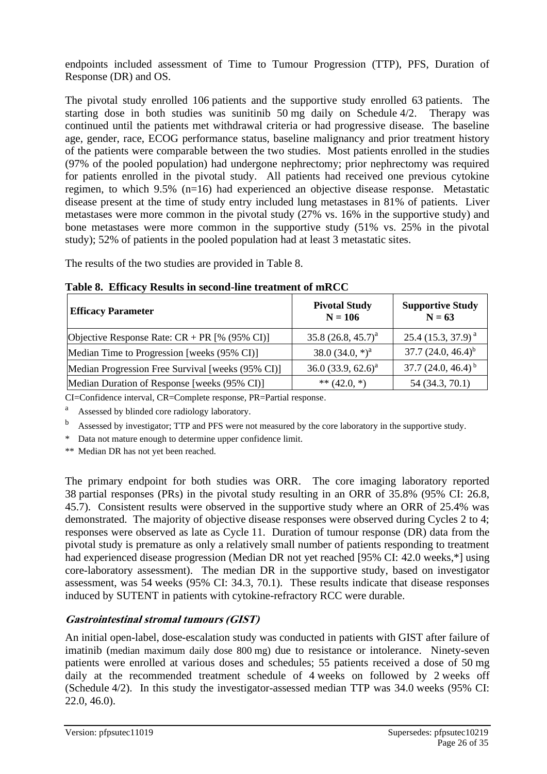endpoints included assessment of Time to Tumour Progression (TTP), PFS, Duration of Response (DR) and OS.

The pivotal study enrolled 106 patients and the supportive study enrolled 63 patients. The starting dose in both studies was sunitinib 50 mg daily on Schedule 4/2. Therapy was continued until the patients met withdrawal criteria or had progressive disease. The baseline age, gender, race, ECOG performance status, baseline malignancy and prior treatment history of the patients were comparable between the two studies. Most patients enrolled in the studies (97% of the pooled population) had undergone nephrectomy; prior nephrectomy was required for patients enrolled in the pivotal study. All patients had received one previous cytokine regimen, to which 9.5% (n=16) had experienced an objective disease response. Metastatic disease present at the time of study entry included lung metastases in 81% of patients. Liver metastases were more common in the pivotal study (27% vs. 16% in the supportive study) and bone metastases were more common in the supportive study (51% vs. 25% in the pivotal study); 52% of patients in the pooled population had at least 3 metastatic sites.

The results of the two studies are provided in Table 8.

| <b>Efficacy Parameter</b>                         | <b>Pivotal Study</b><br>$N = 106$ | <b>Supportive Study</b><br>$N = 63$ |  |
|---------------------------------------------------|-----------------------------------|-------------------------------------|--|
| Objective Response Rate: $CR + PR$ [% (95% CI)]   | 35.8 $(26.8, 45.7)^a$             | $25.4$ (15.3, 37.9) <sup>a</sup>    |  |
| Median Time to Progression [weeks (95% CI)]       | 38.0 $(34.0,*)^a$                 | $37.7(24.0, 46.4)^{b}$              |  |
| Median Progression Free Survival [weeks (95% CI)] | 36.0 (33.9, 62.6) <sup>a</sup>    | 37.7 $(24.0, 46.4)^{b}$             |  |
| Median Duration of Response [weeks (95% CI)]      | ** $(42.0, *)$                    | 54 (34.3, 70.1)                     |  |

**Table 8. Efficacy Results in second-line treatment of mRCC**

CI=Confidence interval, CR=Complete response, PR=Partial response.

<sup>a</sup> Assessed by blinded core radiology laboratory.

<sup>b</sup> Assessed by investigator; TTP and PFS were not measured by the core laboratory in the supportive study.

\* Data not mature enough to determine upper confidence limit.

\*\* Median DR has not yet been reached.

The primary endpoint for both studies was ORR. The core imaging laboratory reported 38 partial responses (PRs) in the pivotal study resulting in an ORR of 35.8% (95% CI: 26.8, 45.7). Consistent results were observed in the supportive study where an ORR of 25.4% was demonstrated. The majority of objective disease responses were observed during Cycles 2 to 4; responses were observed as late as Cycle 11. Duration of tumour response (DR) data from the pivotal study is premature as only a relatively small number of patients responding to treatment had experienced disease progression (Median DR not yet reached [95% CI: 42.0 weeks,\*] using core-laboratory assessment). The median DR in the supportive study, based on investigator assessment, was 54 weeks (95% CI: 34.3, 70.1). These results indicate that disease responses induced by SUTENT in patients with cytokine-refractory RCC were durable.

## **Gastrointestinal stromal tumours (GIST)**

An initial open-label, dose-escalation study was conducted in patients with GIST after failure of imatinib (median maximum daily dose 800 mg) due to resistance or intolerance. Ninety-seven patients were enrolled at various doses and schedules; 55 patients received a dose of 50 mg daily at the recommended treatment schedule of 4 weeks on followed by 2 weeks off (Schedule 4/2). In this study the investigator-assessed median TTP was 34.0 weeks (95% CI: 22.0, 46.0).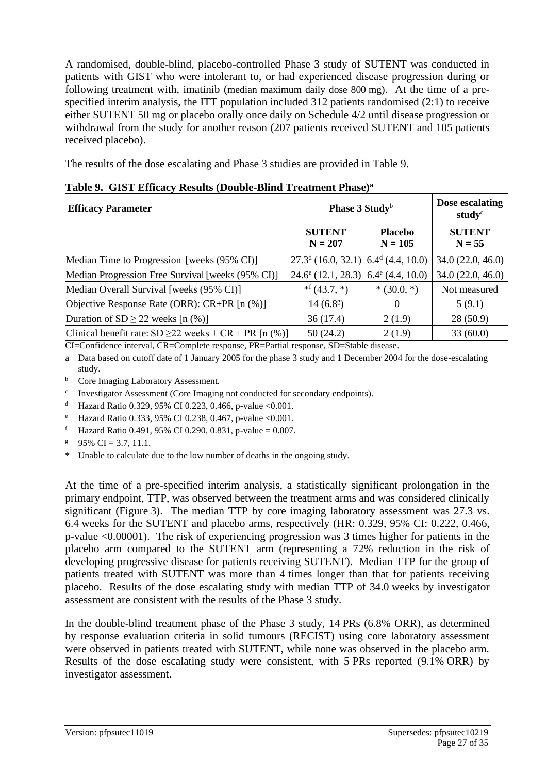A randomised, double-blind, placebo-controlled Phase 3 study of SUTENT was conducted in patients with GIST who were intolerant to, or had experienced disease progression during or following treatment with, imatinib (median maximum daily dose 800 mg). At the time of a prespecified interim analysis, the ITT population included 312 patients randomised (2:1) to receive either SUTENT 50 mg or placebo orally once daily on Schedule 4/2 until disease progression or withdrawal from the study for another reason (207 patients received SUTENT and 105 patients received placebo).

The results of the dose escalating and Phase 3 studies are provided in Table 9.

| <b>Efficacy Parameter</b>                                    | Phase 3 Study <sup>b</sup>                           |                             | Dose escalating<br>study <sup>c</sup> |
|--------------------------------------------------------------|------------------------------------------------------|-----------------------------|---------------------------------------|
|                                                              | <b>SUTENT</b><br>$N = 207$                           | <b>Placebo</b><br>$N = 105$ | <b>SUTENT</b><br>$N = 55$             |
| Median Time to Progression [weeks (95% CI)]                  | $[27.3^d (16.0, 32.1)]$ 6.4 <sup>d</sup> (4.4, 10.0) |                             | 34.0(22.0, 46.0)                      |
| Median Progression Free Survival [weeks (95% CI)]            | $24.6^{\circ}$ (12.1, 28.3)                          | $6.4^{\circ}$ (4.4, 10.0)   | 34.0(22.0, 46.0)                      |
| Median Overall Survival [weeks (95% CI)]                     | $*^f(43.7, *)$                                       | $*(30.0, *)$                | Not measured                          |
| Objective Response Rate (ORR): CR+PR [n (%)]                 | 14(6.8 <sup>g</sup> )                                | $\theta$                    | 5(9.1)                                |
| Duration of $SD \ge 22$ weeks [n (%)]                        | 36(17.4)                                             | 2(1.9)                      | 28(50.9)                              |
| Clinical benefit rate: $SD \ge 22$ weeks + $CR$ + PR [n (%)] | 50(24.2)                                             | 2(1.9)                      | 33(60.0)                              |

**Table 9. GIST Efficacy Results (Double-Blind Treatment Phase)<sup>a</sup>**

CI=Confidence interval, CR=Complete response, PR=Partial response, SD=Stable disease.

a Data based on cutoff date of 1 January 2005 for the phase 3 study and 1 December 2004 for the dose-escalating study.

- **b** Core Imaging Laboratory Assessment.
- <sup>c</sup> Investigator Assessment (Core Imaging not conducted for secondary endpoints).
- <sup>d</sup> Hazard Ratio 0.329, 95% CI 0.223, 0.466, p-value <0.001.
- <sup>e</sup> Hazard Ratio 0.333, 95% CI 0.238, 0.467, p-value <0.001.
- f Hazard Ratio 0.491, 95% CI 0.290, 0.831, p-value = 0.007.
- $95\%$  CI = 3.7, 11.1.
- \* Unable to calculate due to the low number of deaths in the ongoing study.

At the time of a pre-specified interim analysis, a statistically significant prolongation in the primary endpoint, TTP, was observed between the treatment arms and was considered clinically significant (Figure 3). The median TTP by core imaging laboratory assessment was 27.3 vs. 6.4 weeks for the SUTENT and placebo arms, respectively (HR: 0.329, 95% CI: 0.222, 0.466, p-value <0.00001). The risk of experiencing progression was 3 times higher for patients in the placebo arm compared to the SUTENT arm (representing a 72% reduction in the risk of developing progressive disease for patients receiving SUTENT). Median TTP for the group of patients treated with SUTENT was more than 4 times longer than that for patients receiving placebo. Results of the dose escalating study with median TTP of 34.0 weeks by investigator assessment are consistent with the results of the Phase 3 study.

In the double-blind treatment phase of the Phase 3 study, 14 PRs (6.8% ORR), as determined by response evaluation criteria in solid tumours (RECIST) using core laboratory assessment were observed in patients treated with SUTENT, while none was observed in the placebo arm. Results of the dose escalating study were consistent, with 5 PRs reported (9.1% ORR) by investigator assessment.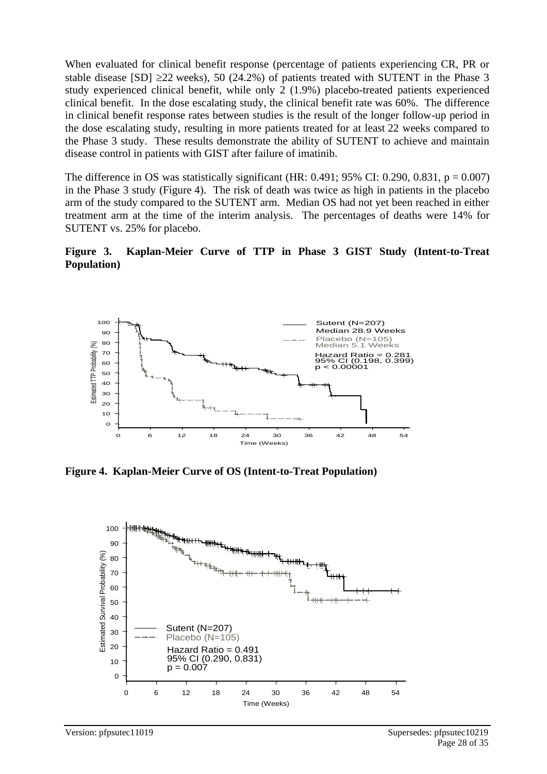When evaluated for clinical benefit response (percentage of patients experiencing CR, PR or stable disease [SD]  $\geq$ 22 weeks), 50 (24.2%) of patients treated with SUTENT in the Phase 3 study experienced clinical benefit, while only 2 (1.9%) placebo-treated patients experienced clinical benefit. In the dose escalating study, the clinical benefit rate was 60%. The difference in clinical benefit response rates between studies is the result of the longer follow-up period in the dose escalating study, resulting in more patients treated for at least 22 weeks compared to the Phase 3 study. These results demonstrate the ability of SUTENT to achieve and maintain disease control in patients with GIST after failure of imatinib.

The difference in OS was statistically significant (HR:  $0.491$ ; 95% CI:  $0.290$ ,  $0.831$ ,  $p = 0.007$ ) in the Phase 3 study (Figure 4). The risk of death was twice as high in patients in the placebo arm of the study compared to the SUTENT arm. Median OS had not yet been reached in either treatment arm at the time of the interim analysis. The percentages of deaths were 14% for SUTENT vs. 25% for placebo.

**Figure 3. Kaplan-Meier Curve of TTP in Phase 3 GIST Study (Intent-to-Treat Population)**



**Figure 4. Kaplan-Meier Curve of OS (Intent-to-Treat Population)**

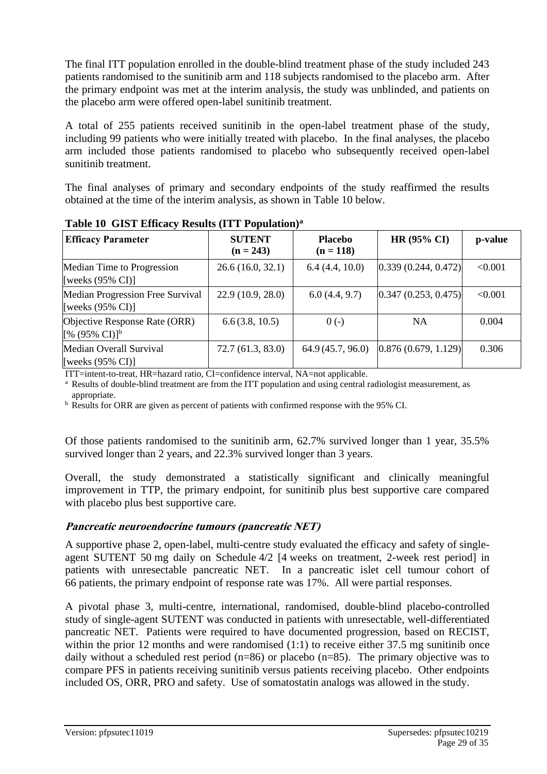The final ITT population enrolled in the double-blind treatment phase of the study included 243 patients randomised to the sunitinib arm and 118 subjects randomised to the placebo arm. After the primary endpoint was met at the interim analysis, the study was unblinded, and patients on the placebo arm were offered open-label sunitinib treatment.

A total of 255 patients received sunitinib in the open-label treatment phase of the study, including 99 patients who were initially treated with placebo. In the final analyses, the placebo arm included those patients randomised to placebo who subsequently received open-label sunitinib treatment.

The final analyses of primary and secondary endpoints of the study reaffirmed the results obtained at the time of the interim analysis, as shown in Table 10 below.

| <b>Efficacy Parameter</b>                                              | <b>SUTENT</b>     | <b>Placebo</b>   | <b>HR (95% CI)</b>     | p-value |
|------------------------------------------------------------------------|-------------------|------------------|------------------------|---------|
|                                                                        | $(n = 243)$       | $(n = 118)$      |                        |         |
| Median Time to Progression<br>[weeks $(95\% \text{ CI})$ ]             | 26.6(16.0, 32.1)  | 6.4(4.4, 10.0)   | [0.339 (0.244, 0.472)] | < 0.001 |
| Median Progression Free Survival<br>[weeks $(95\% \text{ CI})$ ]       | 22.9(10.9, 28.0)  | 6.0(4.4, 9.7)    | [0.347(0.253, 0.475)]  | < 0.001 |
| Objective Response Rate (ORR)<br>[% $(95\% \text{ CI})$ ] <sup>b</sup> | 6.6(3.8, 10.5)    | $0(-)$           | <b>NA</b>              | 0.004   |
| Median Overall Survival<br>[weeks $(95\% \text{ CI})$ ]                | 72.7 (61.3, 83.0) | 64.9(45.7, 96.0) | [0.876(0.679, 1.129)]  | 0.306   |

**Table 10 GIST Efficacy Results (ITT Population)<sup>a</sup>**

ITT=intent-to-treat, HR=hazard ratio, CI=confidence interval, NA=not applicable.

<sup>a</sup> Results of double-blind treatment are from the ITT population and using central radiologist measurement, as appropriate.

<sup>b</sup> Results for ORR are given as percent of patients with confirmed response with the 95% CI.

Of those patients randomised to the sunitinib arm, 62.7% survived longer than 1 year, 35.5% survived longer than 2 years, and 22.3% survived longer than 3 years.

Overall, the study demonstrated a statistically significant and clinically meaningful improvement in TTP, the primary endpoint, for sunitinib plus best supportive care compared with placebo plus best supportive care.

## **Pancreatic neuroendocrine tumours (pancreatic NET)**

A supportive phase 2, open-label, multi-centre study evaluated the efficacy and safety of singleagent SUTENT 50 mg daily on Schedule 4/2 [4 weeks on treatment, 2-week rest period] in patients with unresectable pancreatic NET. In a pancreatic islet cell tumour cohort of 66 patients, the primary endpoint of response rate was 17%. All were partial responses.

A pivotal phase 3, multi-centre, international, randomised, double-blind placebo-controlled study of single-agent SUTENT was conducted in patients with unresectable, well-differentiated pancreatic NET. Patients were required to have documented progression, based on RECIST, within the prior 12 months and were randomised (1:1) to receive either 37.5 mg sunitinib once daily without a scheduled rest period (n=86) or placebo (n=85). The primary objective was to compare PFS in patients receiving sunitinib versus patients receiving placebo. Other endpoints included OS, ORR, PRO and safety. Use of somatostatin analogs was allowed in the study.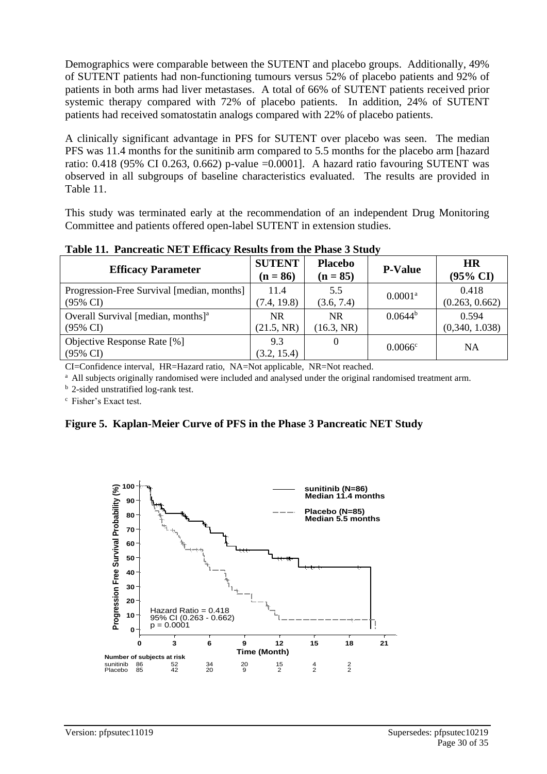Demographics were comparable between the SUTENT and placebo groups. Additionally, 49% of SUTENT patients had non-functioning tumours versus 52% of placebo patients and 92% of patients in both arms had liver metastases. A total of 66% of SUTENT patients received prior systemic therapy compared with 72% of placebo patients. In addition, 24% of SUTENT patients had received somatostatin analogs compared with 22% of placebo patients.

A clinically significant advantage in PFS for SUTENT over placebo was seen. The median PFS was 11.4 months for the sunitinib arm compared to 5.5 months for the placebo arm [hazard ratio: 0.418 (95% CI 0.263, 0.662) p-value =0.0001]. A hazard ratio favouring SUTENT was observed in all subgroups of baseline characteristics evaluated. The results are provided in Table 11.

This study was terminated early at the recommendation of an independent Drug Monitoring Committee and patients offered open-label SUTENT in extension studies.

| <b>Efficacy Parameter</b>                          | <b>SUTENT</b><br>$(n = 86)$ | <b>Placebo</b><br>$(n = 85)$ | <b>P-Value</b>        | <b>HR</b><br>$(95\% \text{ CI})$ |
|----------------------------------------------------|-----------------------------|------------------------------|-----------------------|----------------------------------|
| Progression-Free Survival [median, months]         | 11.4                        | 5.5                          | $0.0001$ <sup>a</sup> | 0.418                            |
| $(95\% \text{ CI})$                                | (7.4, 19.8)                 | (3.6, 7.4)                   |                       | (0.263, 0.662)                   |
| Overall Survival [median, months] <sup>a</sup>     | <b>NR</b>                   | <b>NR</b>                    | $0.0644^b$            | 0.594                            |
| $(95\% \text{ CI})$                                | (21.5, NR)                  | (16.3, NR)                   |                       | (0,340, 1.038)                   |
| Objective Response Rate [%]<br>$(95\% \text{ CI})$ | 9.3<br>(3.2, 15.4)          | $\theta$                     | 0.0066c               | <b>NA</b>                        |

**Table 11. Pancreatic NET Efficacy Results from the Phase 3 Study**

CI=Confidence interval, HR=Hazard ratio, NA=Not applicable, NR=Not reached.

<sup>a</sup> All subjects originally randomised were included and analysed under the original randomised treatment arm.

<sup>b</sup> 2-sided unstratified log-rank test.

<sup>c</sup> Fisher's Exact test.

**Figure 5. Kaplan-Meier Curve of PFS in the Phase 3 Pancreatic NET Study**

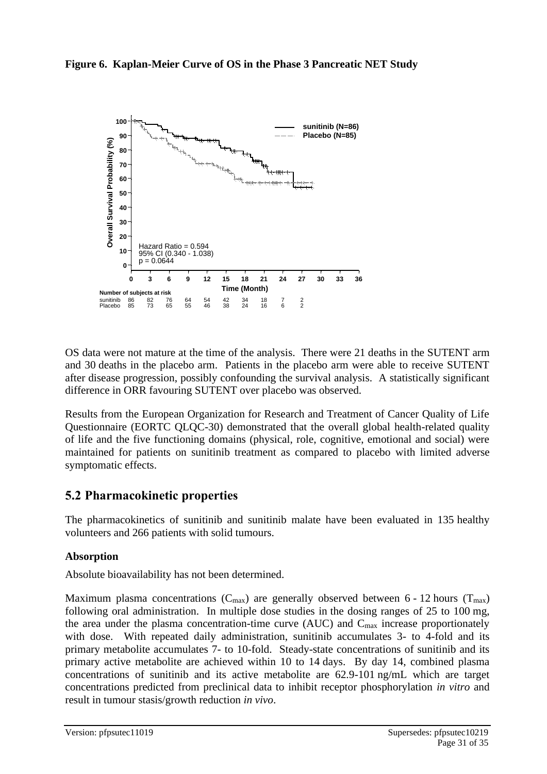



OS data were not mature at the time of the analysis. There were 21 deaths in the SUTENT arm and 30 deaths in the placebo arm. Patients in the placebo arm were able to receive SUTENT after disease progression, possibly confounding the survival analysis. A statistically significant difference in ORR favouring SUTENT over placebo was observed.

Results from the European Organization for Research and Treatment of Cancer Quality of Life Questionnaire (EORTC QLQC-30) demonstrated that the overall global health-related quality of life and the five functioning domains (physical, role, cognitive, emotional and social) were maintained for patients on sunitinib treatment as compared to placebo with limited adverse symptomatic effects.

## **5.2 Pharmacokinetic properties**

The pharmacokinetics of sunitinib and sunitinib malate have been evaluated in 135 healthy volunteers and 266 patients with solid tumours.

## **Absorption**

Absolute bioavailability has not been determined.

Maximum plasma concentrations ( $C_{\text{max}}$ ) are generally observed between 6 - 12 hours ( $T_{\text{max}}$ ) following oral administration. In multiple dose studies in the dosing ranges of 25 to 100 mg, the area under the plasma concentration-time curve (AUC) and  $C_{\text{max}}$  increase proportionately with dose. With repeated daily administration, sunitinib accumulates 3- to 4-fold and its primary metabolite accumulates 7- to 10-fold. Steady-state concentrations of sunitinib and its primary active metabolite are achieved within 10 to 14 days. By day 14, combined plasma concentrations of sunitinib and its active metabolite are 62.9-101 ng/mL which are target concentrations predicted from preclinical data to inhibit receptor phosphorylation *in vitro* and result in tumour stasis/growth reduction *in vivo*.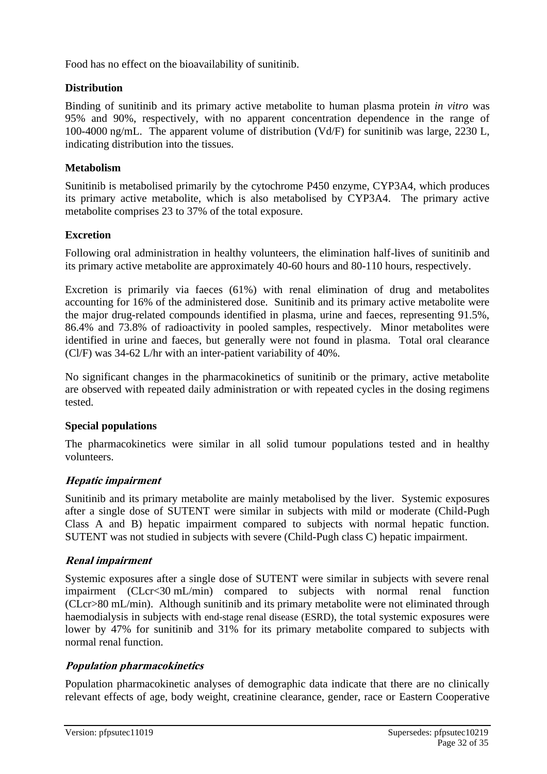Food has no effect on the bioavailability of sunitinib.

## **Distribution**

Binding of sunitinib and its primary active metabolite to human plasma protein *in vitro* was 95% and 90%, respectively, with no apparent concentration dependence in the range of 100-4000 ng/mL. The apparent volume of distribution (Vd/F) for sunitinib was large, 2230 L, indicating distribution into the tissues.

### **Metabolism**

Sunitinib is metabolised primarily by the cytochrome P450 enzyme, CYP3A4, which produces its primary active metabolite, which is also metabolised by CYP3A4. The primary active metabolite comprises 23 to 37% of the total exposure.

## **Excretion**

Following oral administration in healthy volunteers, the elimination half-lives of sunitinib and its primary active metabolite are approximately 40-60 hours and 80-110 hours, respectively.

Excretion is primarily via faeces (61%) with renal elimination of drug and metabolites accounting for 16% of the administered dose. Sunitinib and its primary active metabolite were the major drug-related compounds identified in plasma, urine and faeces, representing 91.5%, 86.4% and 73.8% of radioactivity in pooled samples, respectively. Minor metabolites were identified in urine and faeces, but generally were not found in plasma. Total oral clearance (Cl/F) was 34-62 L/hr with an inter-patient variability of 40%.

No significant changes in the pharmacokinetics of sunitinib or the primary, active metabolite are observed with repeated daily administration or with repeated cycles in the dosing regimens tested.

## **Special populations**

The pharmacokinetics were similar in all solid tumour populations tested and in healthy volunteers.

## **Hepatic impairment**

Sunitinib and its primary metabolite are mainly metabolised by the liver. Systemic exposures after a single dose of SUTENT were similar in subjects with mild or moderate (Child-Pugh Class A and B) hepatic impairment compared to subjects with normal hepatic function. SUTENT was not studied in subjects with severe (Child-Pugh class C) hepatic impairment.

## **Renal impairment**

Systemic exposures after a single dose of SUTENT were similar in subjects with severe renal impairment (CLcr<30 mL/min) compared to subjects with normal renal function (CLcr>80 mL/min). Although sunitinib and its primary metabolite were not eliminated through haemodialysis in subjects with end-stage renal disease (ESRD), the total systemic exposures were lower by 47% for sunitinib and 31% for its primary metabolite compared to subjects with normal renal function.

## **Population pharmacokinetics**

Population pharmacokinetic analyses of demographic data indicate that there are no clinically relevant effects of age, body weight, creatinine clearance, gender, race or Eastern Cooperative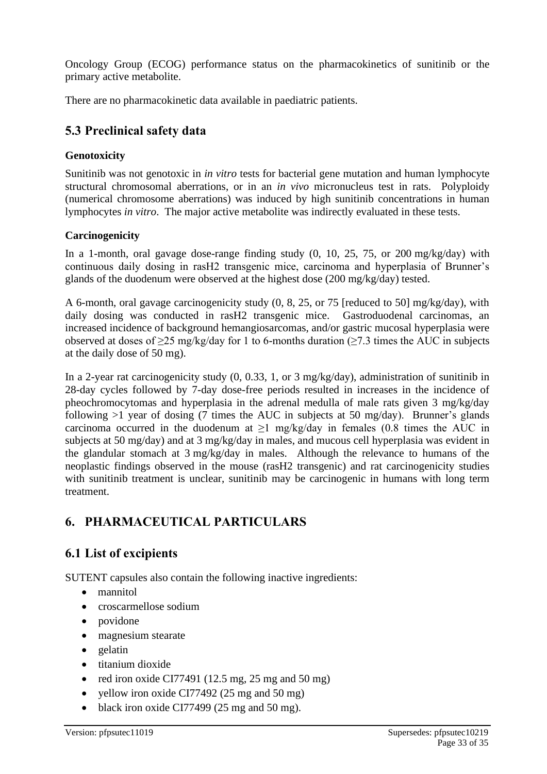Oncology Group (ECOG) performance status on the pharmacokinetics of sunitinib or the primary active metabolite.

There are no pharmacokinetic data available in paediatric patients.

## **5.3 Preclinical safety data**

## **Genotoxicity**

Sunitinib was not genotoxic in *in vitro* tests for bacterial gene mutation and human lymphocyte structural chromosomal aberrations, or in an *in vivo* micronucleus test in rats. Polyploidy (numerical chromosome aberrations) was induced by high sunitinib concentrations in human lymphocytes *in vitro*. The major active metabolite was indirectly evaluated in these tests.

## **Carcinogenicity**

In a 1-month, oral gavage dose-range finding study (0, 10, 25, 75, or 200 mg/kg/day) with continuous daily dosing in rasH2 transgenic mice, carcinoma and hyperplasia of Brunner's glands of the duodenum were observed at the highest dose (200 mg/kg/day) tested.

A 6-month, oral gavage carcinogenicity study (0, 8, 25, or 75 [reduced to 50] mg/kg/day), with daily dosing was conducted in rasH2 transgenic mice. Gastroduodenal carcinomas, an increased incidence of background hemangiosarcomas, and/or gastric mucosal hyperplasia were observed at doses of  $\geq$ 25 mg/kg/day for 1 to 6-months duration ( $\geq$ 7.3 times the AUC in subjects at the daily dose of 50 mg).

In a 2-year rat carcinogenicity study (0, 0.33, 1, or 3 mg/kg/day), administration of sunitinib in 28-day cycles followed by 7-day dose-free periods resulted in increases in the incidence of pheochromocytomas and hyperplasia in the adrenal medulla of male rats given 3 mg/kg/day following  $>1$  year of dosing (7 times the AUC in subjects at 50 mg/day). Brunner's glands carcinoma occurred in the duodenum at  $\geq 1$  mg/kg/day in females (0.8 times the AUC in subjects at 50 mg/day) and at 3 mg/kg/day in males, and mucous cell hyperplasia was evident in the glandular stomach at 3 mg/kg/day in males. Although the relevance to humans of the neoplastic findings observed in the mouse (rasH2 transgenic) and rat carcinogenicity studies with sunitinib treatment is unclear, sunitinib may be carcinogenic in humans with long term treatment.

## **6. PHARMACEUTICAL PARTICULARS**

## **6.1 List of excipients**

SUTENT capsules also contain the following inactive ingredients:

- mannitol
- croscarmellose sodium
- povidone
- magnesium stearate
- gelatin
- titanium dioxide
- red iron oxide CI77491 (12.5 mg,  $25 \text{ mg}$  and  $50 \text{ mg}$ )
- yellow iron oxide CI77492 (25 mg and 50 mg)
- black iron oxide CI77499 (25 mg and 50 mg).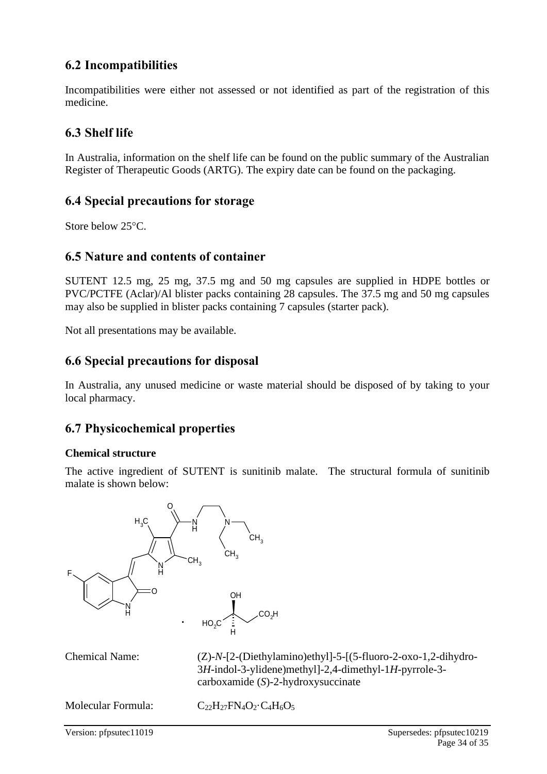## **6.2 Incompatibilities**

Incompatibilities were either not assessed or not identified as part of the registration of this medicine.

## **6.3 Shelf life**

In Australia, information on the shelf life can be found on the public summary of the Australian Register of Therapeutic Goods (ARTG). The expiry date can be found on the packaging.

## **6.4 Special precautions for storage**

Store below 25°C.

## **6.5 Nature and contents of container**

SUTENT 12.5 mg, 25 mg, 37.5 mg and 50 mg capsules are supplied in HDPE bottles or PVC/PCTFE (Aclar)/Al blister packs containing 28 capsules. The 37.5 mg and 50 mg capsules may also be supplied in blister packs containing 7 capsules (starter pack).

Not all presentations may be available.

## **6.6 Special precautions for disposal**

In Australia, any unused medicine or waste material should be disposed of by taking to your local pharmacy.

## **6.7 Physicochemical properties**

## **Chemical structure**

The active ingredient of SUTENT is sunitinib malate. The structural formula of sunitinib malate is shown below:



Chemical Name: (Z)-*N*-[2-(Diethylamino)ethyl]-5-[(5-fluoro-2-oxo-1,2-dihydro-3*H*-indol-3-ylidene)methyl]-2,4-dimethyl-1*H*-pyrrole-3 carboxamide (*S*)-2-hydroxysuccinate

Molecular Formula:  $C_{22}H_{27}FN_4O_2 \cdot C_4H_6O_5$